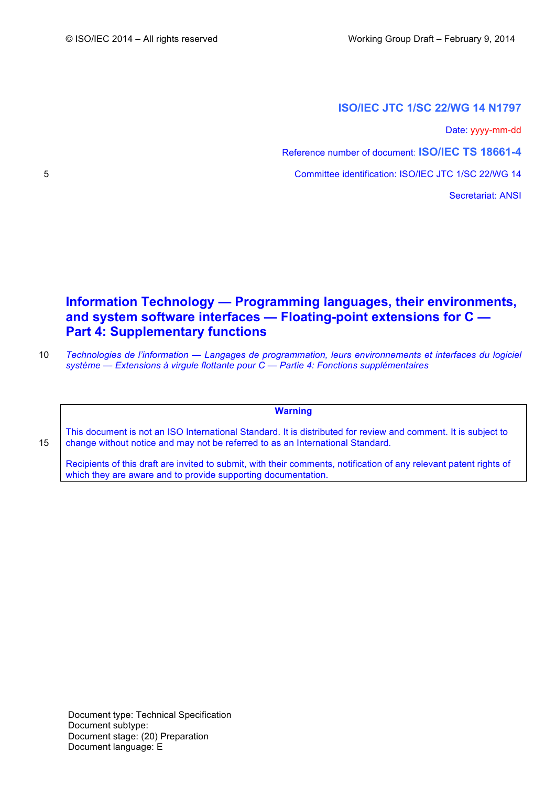# **ISO/IEC JTC 1/SC 22/WG 14 N1797**

Date: yyyy-mm-dd

Reference number of document: **ISO/IEC TS 18661-4**

5 Committee identification: ISO/IEC JTC 1/SC 22/WG 14

Secretariat: ANSI

# **Information Technology — Programming languages, their environments, and system software interfaces — Floating-point extensions for C — Part 4: Supplementary functions**

10 *Technologies de l'information — Langages de programmation, leurs environnements et interfaces du logiciel système — Extensions à virgule flottante pour C — Partie 4: Fonctions supplémentaires*

**Warning**

This document is not an ISO International Standard. It is distributed for review and comment. It is subject to 15 change without notice and may not be referred to as an International Standard.

Recipients of this draft are invited to submit, with their comments, notification of any relevant patent rights of which they are aware and to provide supporting documentation.

Document type: Technical Specification Document subtype: Document stage: (20) Preparation Document language: E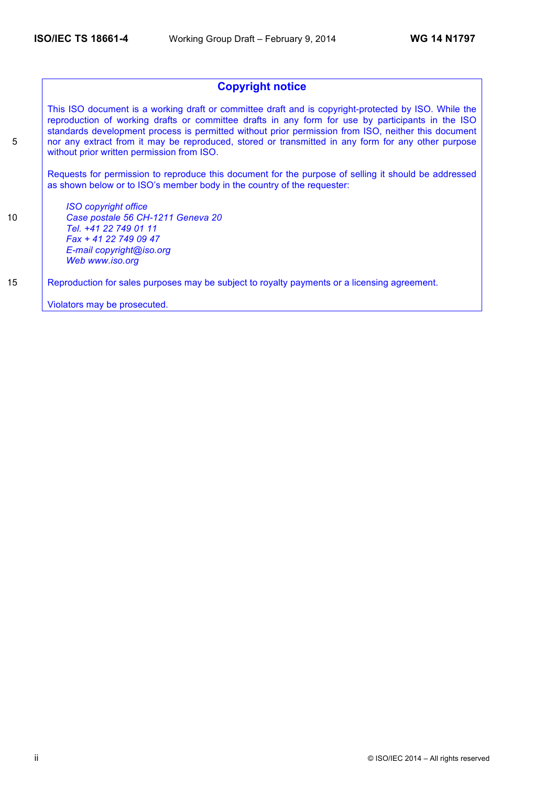# **Copyright notice**

This ISO document is a working draft or committee draft and is copyright-protected by ISO. While the reproduction of working drafts or committee drafts in any form for use by participants in the ISO standards development process is permitted without prior permission from ISO, neither this document 5 nor any extract from it may be reproduced, stored or transmitted in any form for any other purpose without prior written permission from ISO.

Requests for permission to reproduce this document for the purpose of selling it should be addressed as shown below or to ISO's member body in the country of the requester:

*ISO copyright office* 10 *Case postale 56 CH-1211 Geneva 20 Tel. +41 22 749 01 11 Fax + 41 22 749 09 47 E-mail copyright@iso.org Web www.iso.org*

15 Reproduction for sales purposes may be subject to royalty payments or a licensing agreement.

Violators may be prosecuted.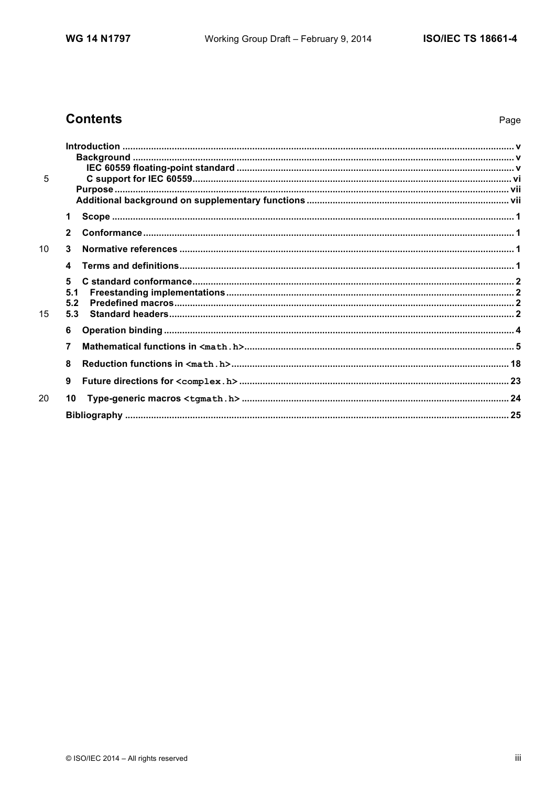# **Contents**

| 5               |                 |  |
|-----------------|-----------------|--|
|                 |                 |  |
|                 |                 |  |
|                 | 1               |  |
|                 | $\mathbf{2}$    |  |
| 10 <sup>1</sup> | 3               |  |
|                 | 4               |  |
|                 | 5<br>5.1<br>5.2 |  |
| 15              | 5.3             |  |
|                 | 6               |  |
|                 | 7               |  |
|                 | 8               |  |
|                 | 9               |  |
| 20              | 10              |  |
|                 |                 |  |
|                 |                 |  |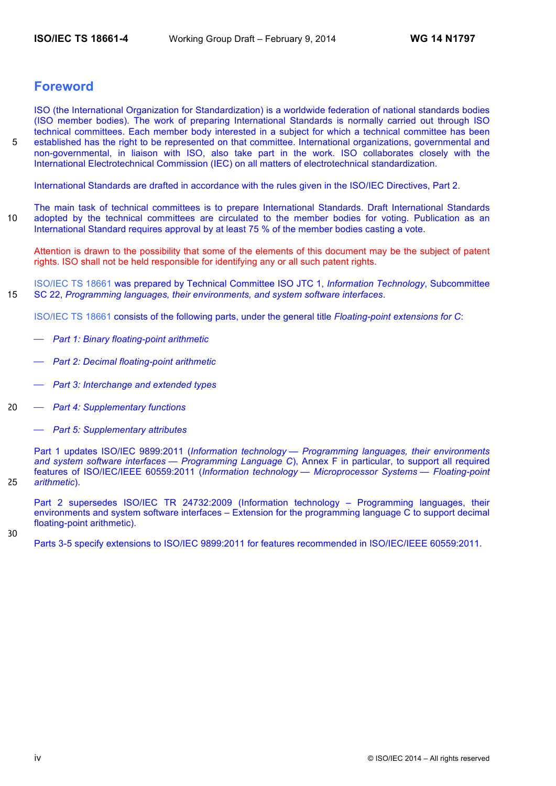# **Foreword**

ISO (the International Organization for Standardization) is a worldwide federation of national standards bodies (ISO member bodies). The work of preparing International Standards is normally carried out through ISO technical committees. Each member body interested in a subject for which a technical committee has been 5 established has the right to be represented on that committee. International organizations, governmental and non-governmental, in liaison with ISO, also take part in the work. ISO collaborates closely with the International Electrotechnical Commission (IEC) on all matters of electrotechnical standardization.

International Standards are drafted in accordance with the rules given in the ISO/IEC Directives, Part 2.

The main task of technical committees is to prepare International Standards. Draft International Standards 10 adopted by the technical committees are circulated to the member bodies for voting. Publication as an International Standard requires approval by at least 75 % of the member bodies casting a vote.

Attention is drawn to the possibility that some of the elements of this document may be the subject of patent rights. ISO shall not be held responsible for identifying any or all such patent rights.

ISO/IEC TS 18661 was prepared by Technical Committee ISO JTC 1, *Information Technology*, Subcommittee 15 SC 22, *Programming languages, their environments, and system software interfaces*.

ISO/IEC TS 18661 consists of the following parts, under the general title *Floating-point extensions for C*:

- ⎯ *Part 1: Binary floating-point arithmetic*
- ⎯ *Part 2: Decimal floating-point arithmetic*
- ⎯ *Part 3: Interchange and extended types*
- 20 ⎯ *Part 4: Supplementary functions*
	- ⎯ *Part 5: Supplementary attributes*

Part 1 updates ISO/IEC 9899:2011 (*Information technology — Programming languages, their environments and system software interfaces — Programming Language C*), Annex F in particular, to support all required features of ISO/IEC/IEEE 60559:2011 (*Information technology — Microprocessor Systems — Floating-point*  25 *arithmetic*).

Part 2 supersedes ISO/IEC TR 24732:2009 (Information technology – Programming languages, their environments and system software interfaces – Extension for the programming language C to support decimal floating-point arithmetic).

30

Parts 3-5 specify extensions to ISO/IEC 9899:2011 for features recommended in ISO/IEC/IEEE 60559:2011.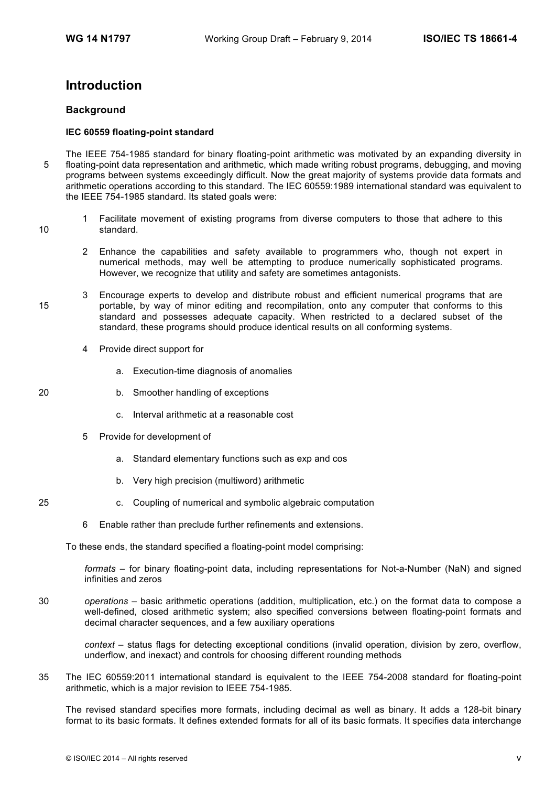# **Introduction**

# **Background**

## **IEC 60559 floating-point standard**

- The IEEE 754-1985 standard for binary floating-point arithmetic was motivated by an expanding diversity in 5 floating-point data representation and arithmetic, which made writing robust programs, debugging, and moving programs between systems exceedingly difficult. Now the great majority of systems provide data formats and arithmetic operations according to this standard. The IEC 60559:1989 international standard was equivalent to the IEEE 754-1985 standard. Its stated goals were:
- 1 Facilitate movement of existing programs from diverse computers to those that adhere to this 10 standard.
	- 2 Enhance the capabilities and safety available to programmers who, though not expert in numerical methods, may well be attempting to produce numerically sophisticated programs. However, we recognize that utility and safety are sometimes antagonists.
- 3 Encourage experts to develop and distribute robust and efficient numerical programs that are 15 portable, by way of minor editing and recompilation, onto any computer that conforms to this standard and possesses adequate capacity. When restricted to a declared subset of the standard, these programs should produce identical results on all conforming systems.
	- 4 Provide direct support for
		- a. Execution-time diagnosis of anomalies
- 20 b. Smoother handling of exceptions
	- c. Interval arithmetic at a reasonable cost
	- 5 Provide for development of
		- a. Standard elementary functions such as exp and cos
		- b. Very high precision (multiword) arithmetic
- 25 c. Coupling of numerical and symbolic algebraic computation
	- 6 Enable rather than preclude further refinements and extensions.

To these ends, the standard specified a floating-point model comprising:

*formats* – for binary floating-point data, including representations for Not-a-Number (NaN) and signed infinities and zeros

30 *operations* – basic arithmetic operations (addition, multiplication, etc.) on the format data to compose a well-defined, closed arithmetic system; also specified conversions between floating-point formats and decimal character sequences, and a few auxiliary operations

*context* – status flags for detecting exceptional conditions (invalid operation, division by zero, overflow, underflow, and inexact) and controls for choosing different rounding methods

35 The IEC 60559:2011 international standard is equivalent to the IEEE 754-2008 standard for floating-point arithmetic, which is a major revision to IEEE 754-1985.

The revised standard specifies more formats, including decimal as well as binary. It adds a 128-bit binary format to its basic formats. It defines extended formats for all of its basic formats. It specifies data interchange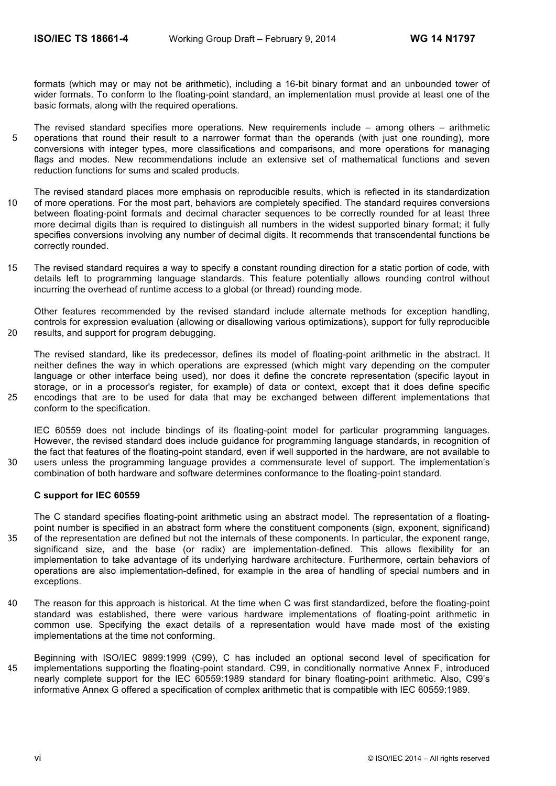formats (which may or may not be arithmetic), including a 16-bit binary format and an unbounded tower of wider formats. To conform to the floating-point standard, an implementation must provide at least one of the basic formats, along with the required operations.

- The revised standard specifies more operations. New requirements include among others arithmetic 5 operations that round their result to a narrower format than the operands (with just one rounding), more conversions with integer types, more classifications and comparisons, and more operations for managing flags and modes. New recommendations include an extensive set of mathematical functions and seven reduction functions for sums and scaled products.
- The revised standard places more emphasis on reproducible results, which is reflected in its standardization 10 of more operations. For the most part, behaviors are completely specified. The standard requires conversions between floating-point formats and decimal character sequences to be correctly rounded for at least three more decimal digits than is required to distinguish all numbers in the widest supported binary format; it fully specifies conversions involving any number of decimal digits. It recommends that transcendental functions be correctly rounded.
- 15 The revised standard requires a way to specify a constant rounding direction for a static portion of code, with details left to programming language standards. This feature potentially allows rounding control without incurring the overhead of runtime access to a global (or thread) rounding mode.

Other features recommended by the revised standard include alternate methods for exception handling, controls for expression evaluation (allowing or disallowing various optimizations), support for fully reproducible 20 results, and support for program debugging.

The revised standard, like its predecessor, defines its model of floating-point arithmetic in the abstract. It neither defines the way in which operations are expressed (which might vary depending on the computer language or other interface being used), nor does it define the concrete representation (specific layout in storage, or in a processor's register, for example) of data or context, except that it does define specific 25 encodings that are to be used for data that may be exchanged between different implementations that conform to the specification.

IEC 60559 does not include bindings of its floating-point model for particular programming languages. However, the revised standard does include guidance for programming language standards, in recognition of the fact that features of the floating-point standard, even if well supported in the hardware, are not available to 30 users unless the programming language provides a commensurate level of support. The implementation's combination of both hardware and software determines conformance to the floating-point standard.

## **C support for IEC 60559**

The C standard specifies floating-point arithmetic using an abstract model. The representation of a floatingpoint number is specified in an abstract form where the constituent components (sign, exponent, significand) 35 of the representation are defined but not the internals of these components. In particular, the exponent range, significand size, and the base (or radix) are implementation-defined. This allows flexibility for an implementation to take advantage of its underlying hardware architecture. Furthermore, certain behaviors of operations are also implementation-defined, for example in the area of handling of special numbers and in exceptions.

- 40 The reason for this approach is historical. At the time when C was first standardized, before the floating-point standard was established, there were various hardware implementations of floating-point arithmetic in common use. Specifying the exact details of a representation would have made most of the existing implementations at the time not conforming.
- Beginning with ISO/IEC 9899:1999 (C99), C has included an optional second level of specification for 45 implementations supporting the floating-point standard. C99, in conditionally normative Annex F, introduced nearly complete support for the IEC 60559:1989 standard for binary floating-point arithmetic. Also, C99's informative Annex G offered a specification of complex arithmetic that is compatible with IEC 60559:1989.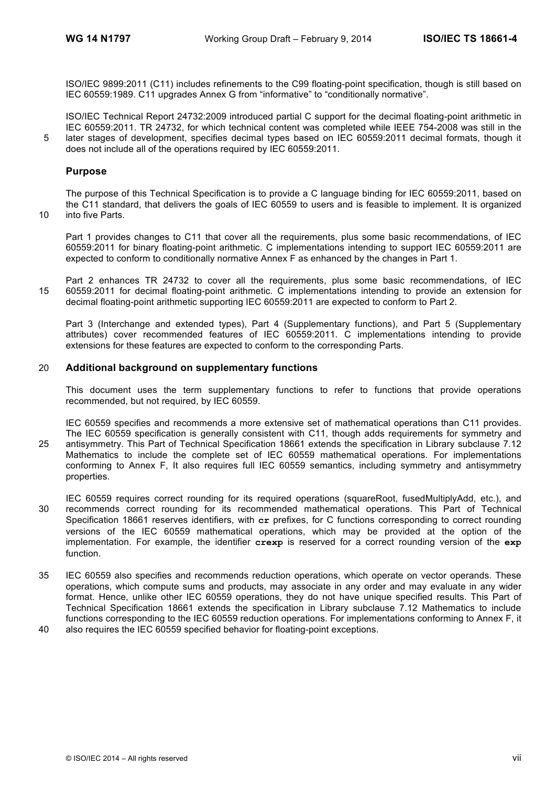ISO/IEC 9899:2011 (C11) includes refinements to the C99 floating-point specification, though is still based on IEC 60559:1989. C11 upgrades Annex G from "informative" to "conditionally normative".

ISO/IEC Technical Report 24732:2009 introduced partial C support for the decimal floating-point arithmetic in IEC 60559:2011. TR 24732, for which technical content was completed while IEEE 754-2008 was still in the 5 later stages of development, specifies decimal types based on IEC 60559:2011 decimal formats, though it does not include all of the operations required by IEC 60559:2011.

## **Purpose**

The purpose of this Technical Specification is to provide a C language binding for IEC 60559:2011, based on the C11 standard, that delivers the goals of IEC 60559 to users and is feasible to implement. It is organized 10 into five Parts.

Part 1 provides changes to C11 that cover all the requirements, plus some basic recommendations, of IEC 60559:2011 for binary floating-point arithmetic. C implementations intending to support IEC 60559:2011 are expected to conform to conditionally normative Annex F as enhanced by the changes in Part 1.

Part 2 enhances TR 24732 to cover all the requirements, plus some basic recommendations, of IEC 15 60559:2011 for decimal floating-point arithmetic. C implementations intending to provide an extension for decimal floating-point arithmetic supporting IEC 60559:2011 are expected to conform to Part 2.

Part 3 (Interchange and extended types), Part 4 (Supplementary functions), and Part 5 (Supplementary attributes) cover recommended features of IEC 60559:2011. C implementations intending to provide extensions for these features are expected to conform to the corresponding Parts.

## 20 **Additional background on supplementary functions**

This document uses the term supplementary functions to refer to functions that provide operations recommended, but not required, by IEC 60559.

IEC 60559 specifies and recommends a more extensive set of mathematical operations than C11 provides. The IEC 60559 specification is generally consistent with C11, though adds requirements for symmetry and 25 antisymmetry. This Part of Technical Specification 18661 extends the specification in Library subclause 7.12 Mathematics to include the complete set of IEC 60559 mathematical operations. For implementations conforming to Annex F, It also requires full IEC 60559 semantics, including symmetry and antisymmetry properties.

- IEC 60559 requires correct rounding for its required operations (squareRoot, fusedMultiplyAdd, etc.), and 30 recommends correct rounding for its recommended mathematical operations. This Part of Technical Specification 18661 reserves identifiers, with **cr** prefixes, for C functions corresponding to correct rounding versions of the IEC 60559 mathematical operations, which may be provided at the option of the implementation. For example, the identifier **crexp** is reserved for a correct rounding version of the **exp** function.
- 35 IEC 60559 also specifies and recommends reduction operations, which operate on vector operands. These operations, which compute sums and products, may associate in any order and may evaluate in any wider format. Hence, unlike other IEC 60559 operations, they do not have unique specified results. This Part of Technical Specification 18661 extends the specification in Library subclause 7.12 Mathematics to include functions corresponding to the IEC 60559 reduction operations. For implementations conforming to Annex F, it 40 also requires the IEC 60559 specified behavior for floating-point exceptions.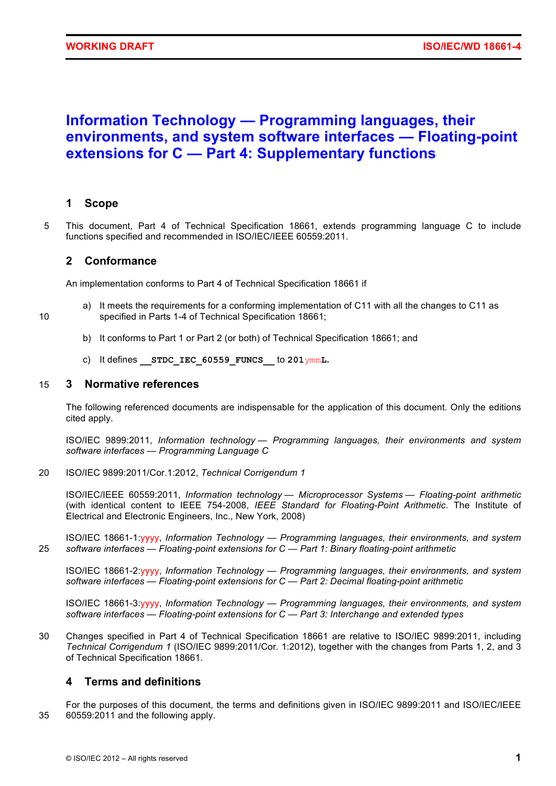# **Information Technology — Programming languages, their environments, and system software interfaces — Floating-point extensions for C — Part 4: Supplementary functions**

# **1 Scope**

5 This document, Part 4 of Technical Specification 18661, extends programming language C to include functions specified and recommended in ISO/IEC/IEEE 60559:2011.

# **2 Conformance**

An implementation conforms to Part 4 of Technical Specification 18661 if

- a) It meets the requirements for a conforming implementation of C11 with all the changes to C11 as 10 specified in Parts 1-4 of Technical Specification 18661;
	- b) It conforms to Part 1 or Part 2 (or both) of Technical Specification 18661; and
	- c) It defines **\_\_STDC\_IEC\_60559\_FUNCS\_\_** to **201**ymm**L.**

# 15 **3 Normative references**

The following referenced documents are indispensable for the application of this document. Only the editions cited apply.

ISO/IEC 9899:2011, *Information technology — Programming languages, their environments and system software interfaces — Programming Language C*

20 ISO/IEC 9899:2011/Cor.1:2012, *Technical Corrigendum 1*

ISO/IEC/IEEE 60559:2011, *Information technology — Microprocessor Systems — Floating-point arithmetic* (with identical content to IEEE 754-2008, *IEEE Standard for Floating-Point Arithmetic*. The Institute of Electrical and Electronic Engineers, Inc., New York, 2008)

ISO/IEC 18661-1:yyyy, *Information Technology — Programming languages, their environments, and system*  25 *software interfaces — Floating-point extensions for C — Part 1: Binary floating-point arithmetic*

ISO/IEC 18661-2:yyyy, *Information Technology — Programming languages, their environments, and system software interfaces — Floating-point extensions for C — Part 2: Decimal floating-point arithmetic*

ISO/IEC 18661-3:yyyy, *Information Technology — Programming languages, their environments, and system software interfaces — Floating-point extensions for C — Part 3: Interchange and extended types*

30 Changes specified in Part 4 of Technical Specification 18661 are relative to ISO/IEC 9899:2011, including *Technical Corrigendum 1* (ISO/IEC 9899:2011/Cor. 1:2012), together with the changes from Parts 1, 2, and 3 of Technical Specification 18661.

# **4 Terms and definitions**

For the purposes of this document, the terms and definitions given in ISO/IEC 9899:2011 and ISO/IEC/IEEE 35 60559:2011 and the following apply.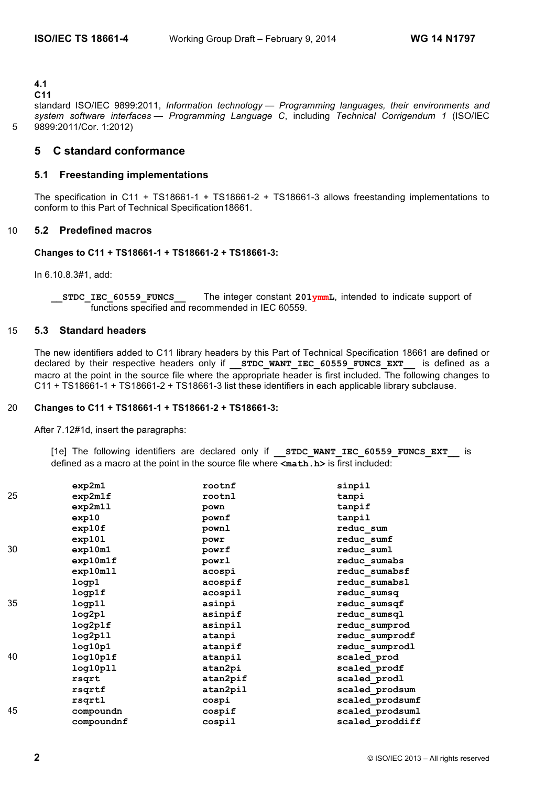**4.1**

## **C11**

standard ISO/IEC 9899:2011, *Information technology — Programming languages, their environments and system software interfaces — Programming Language C*, including *Technical Corrigendum 1* (ISO/IEC 5 9899:2011/Cor. 1:2012)

# **5 C standard conformance**

## **5.1 Freestanding implementations**

The specification in C11 + TS18661-1 + TS18661-2 + TS18661-3 allows freestanding implementations to conform to this Part of Technical Specification18661.

# 10 **5.2 Predefined macros**

# **Changes to C11 + TS18661-1 + TS18661-2 + TS18661-3:**

In 6.10.8.3#1, add:

**STDC IEC 60559 FUNCS** The integer constant 201ymmL, intended to indicate support of functions specified and recommended in IEC 60559.

#### 15 **5.3 Standard headers**

The new identifiers added to C11 library headers by this Part of Technical Specification 18661 are defined or declared by their respective headers only if **STDC WANT IEC 60559 FUNCS EXT** is defined as a macro at the point in the source file where the appropriate header is first included. The following changes to C11 + TS18661-1 + TS18661-2 + TS18661-3 list these identifiers in each applicable library subclause.

#### 20 **Changes to C11 + TS18661-1 + TS18661-2 + TS18661-3:**

After 7.12#1d, insert the paragraphs:

[1e] The following identifiers are declared only if **STDC WANT IEC 60559 FUNCS EXT** is defined as a macro at the point in the source file where **<math.h>** is first included:

|    | exp2m1     | rootnf   | sinpil          |
|----|------------|----------|-----------------|
| 25 | exp2m1f    | rootnl   | tanpi           |
|    | exp2m11    | pown     | tanpif          |
|    | exp10      | pownf    | tanpil          |
|    | exp10f     | pownl    | reduc sum       |
|    | exp101     | powr     | reduc sumf      |
| 30 | exp10m1    | powrf    | reduc suml      |
|    | exp10m1f   | powrl    | reduc sumabs    |
|    | exp10m11   | acospi   | reduc sumabsf   |
|    | logp1      | acospif  | reduc sumabsl   |
|    | logp1f     | acospil  | reduc sumsq     |
| 35 | logp11     | asinpi   | reduc sumsqf    |
|    | log2p1     | asinpif  | reduc sumsql    |
|    | log2p1f    | asinpil  | reduc sumprod   |
|    | log2p11    | atanpi   | reduc sumprodf  |
|    | log10p1    | atanpif  | reduc sumprodl  |
| 40 | log10p1f   | atanpil  | scaled_prod     |
|    | log10p11   | atan2pi  | scaled prodf    |
|    | rsqrt      | atan2pif | scaled prodl    |
|    | rsqrtf     | atan2pil | scaled prodsum  |
|    | rsqrtl     | cospi    | scaled prodsumf |
| 45 | compoundn  | cospif   | scaled prodsuml |
|    | compoundnf | cospil   | scaled proddiff |
|    |            |          |                 |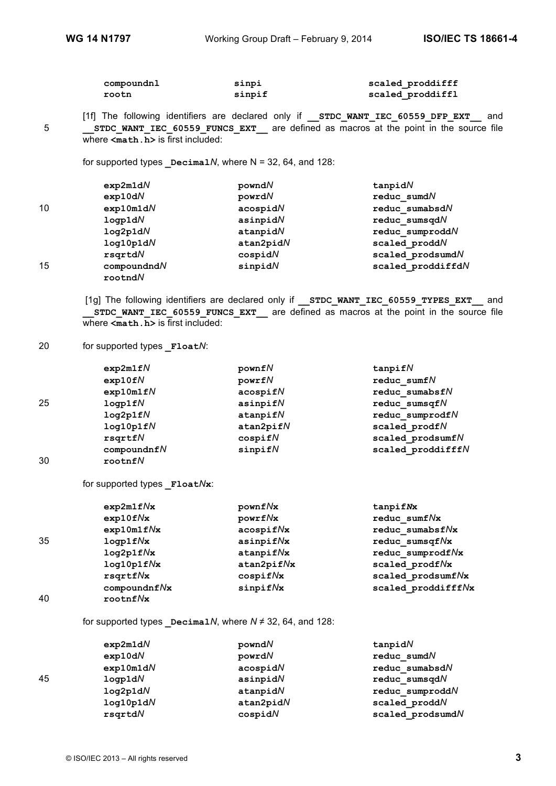| compoundnl | sinpi  | scaled proddifff |
|------------|--------|------------------|
| rootn      | sinpif | scaled proddiffl |
|            |        |                  |

[1f] The following identifiers are declared only if **\_\_STDC\_WANT\_IEC\_60559\_DFP\_EXT\_\_** and 5 **\_\_STDC\_WANT\_IEC\_60559\_FUNCS\_EXT\_\_** are defined as macros at the point in the source file where  $\leq m$ **ath. h**> is first included:

for supported types  $\Delta M$ , where N = 32, 64, and 128:

|    | exp2m1dN    | powndN     | tanpidN           |
|----|-------------|------------|-------------------|
|    | exp10dN     | powrdN     | reduc sumdN       |
| 10 | exp10m1dN   | acospidN   | reduc sumabsdN    |
|    | logp1dN     | asinpidN   | reduc sumsqdN     |
|    | log2p1dN    | at a npidN | reduc sumproddN   |
|    | log10p1dN   | atan2pidN  | scaled proddN     |
|    | rsqrtdN     | cospidN    | scaled prodsumdN  |
| 15 | compoundndN | sinpidN    | scaled proddiffdN |
|    | rootndN     |            |                   |

[1g] The following identifiers are declared only if **STDC WANT IEC 60559 TYPES EXT** and **\_\_STDC\_WANT\_IEC\_60559\_FUNCS\_EXT\_\_** are defined as macros at the point in the source file where  $\leq$ **math.h**> is first included:

#### 20 for supported types **Float***N*:

|    | exp2m1fN   | pownfN         | $t$ anpif $N$     |
|----|------------|----------------|-------------------|
|    | exp10fN    | powrfN         | reduc sumfN       |
|    | exp10m1fN  | acospifN       | reduc sumabsfN    |
| 25 | logp1fN    | asinpifN       | reduc sumsqf $N$  |
|    | log2p1fN   | $at$ anpif $N$ | reduc sumprodfN   |
|    | log10p1fN  | atan2pifN      | scaled prodfN     |
|    | rsqrtfN    | cospifN        | scaled prodsumfN  |
|    | compoundfN | $s$ inpif $N$  | scaled proddifffN |
| 30 | rootnfN    |                |                   |

#### for supported types **\_Float***N***x**:

|    | exp2m1fNx        | pownf Nx         | tanpifNx           |
|----|------------------|------------------|--------------------|
|    | $exp10f\sqrt{x}$ | powrfNx          | reduc sumfNx       |
|    | exp10m1fNx       | acospifNx        | reduc sumabsfNx    |
| 35 | $logp1f$ /x      | asinpifNx        | reduc sumsqfNx     |
|    | log2p1fNx        | $at$ anpif $N$ x | reduc sumprodfNx   |
|    | log10p1fNx       | atan2pifNx       | scaled prodfNx     |
|    | rsqrtNx          | cospif Nx        | scaled prodsumfNx  |
|    | compoundnf Nx    | $s$ inpif $N$ x  | scaled proddifffNx |
| 40 | rootnfNx         |                  |                    |

for supported types  $DecimalN$ , where  $N \neq 32$ , 64, and 128:

|    | exp2m1dN  | powndN      | tanpidN           |  |
|----|-----------|-------------|-------------------|--|
|    | exp10dN   | powrdN      | reduc sumdN       |  |
|    | exp10m1dN | acospidN    | reduc sumabsd $N$ |  |
| 45 | logp1dN   | asinpid $N$ | reduc sumsqdN     |  |
|    | log2p1dN  | at a npidN  | reduc sumproddN   |  |
|    | log10p1dN | atan2pidN   | scaled proddN     |  |
|    | rsgrtdN   | cospidN     | scaled prodsumdN  |  |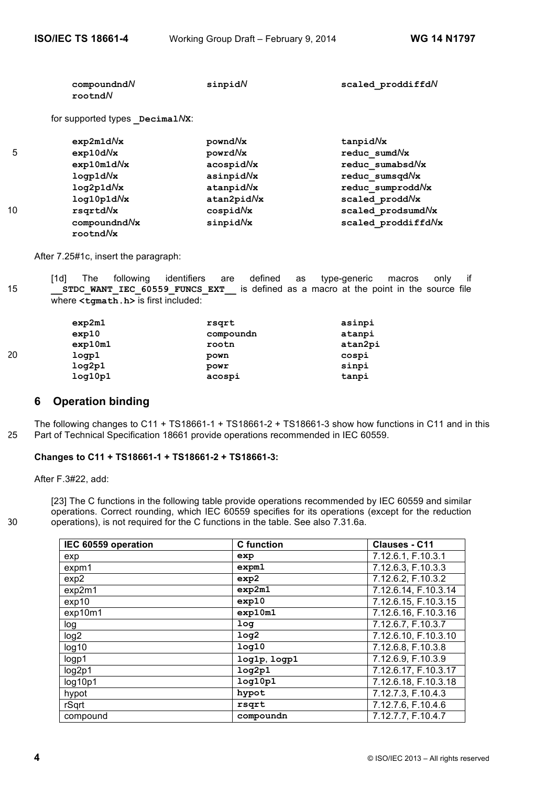|    | compoundndN<br>rootndN         | sinpidN    | scaled proddiffdN  |
|----|--------------------------------|------------|--------------------|
|    | for supported types DecimalNx: |            |                    |
|    | exp2m1dNx                      | powndNx    | $t$ anpid $N$ x    |
| 5  | $exp10d\sqrt{x}$               | powrdNx    | reduc sumdNx       |
|    | exp10m1dNx                     | acospidNx  | reduc sumabsdNx    |
|    | logp1dNx                       | asinpidNx  | reduc sumsqd/x     |
|    | log2p1dNx                      | atanpidNx  | reduc sumprodd/vx  |
|    | log10p1dNx                     | atan2pidNx | scaled prodd/x     |
| 10 | rsqrtdNx                       | cospidNx   | scaled prodsumd/x  |
|    | compoundndNx<br>rootndNx       | sinpidNx   | scaled proddiffdNx |

After 7.25#1c, insert the paragraph:

[1d] The following identifiers are defined as type-generic macros only if 15 **\_\_STDC\_WANT\_IEC\_60559\_FUNCS\_EXT\_\_** is defined as a macro at the point in the source file where **<tgmath.h>** is first included:

|    | exp2m1  | rsqrt     | asinpi  |
|----|---------|-----------|---------|
|    | exp10   | compoundn | atanpi  |
|    | exp10m1 | rootn     | atan2pi |
| 20 | logp1   | pown      | cospi   |
|    | log2p1  | powr      | sinpi   |
|    | log10p1 | acospi    | tanpi   |

# **6 Operation binding**

The following changes to C11 + TS18661-1 + TS18661-2 + TS18661-3 show how functions in C11 and in this 25 Part of Technical Specification 18661 provide operations recommended in IEC 60559.

# **Changes to C11 + TS18661-1 + TS18661-2 + TS18661-3:**

After F.3#22, add:

[23] The C functions in the following table provide operations recommended by IEC 60559 and similar operations. Correct rounding, which IEC 60559 specifies for its operations (except for the reduction 30 operations), is not required for the C functions in the table. See also 7.31.6a.

| IEC 60559 operation | <b>C</b> function             | <b>Clauses - C11</b> |
|---------------------|-------------------------------|----------------------|
| exp                 | exp                           | 7.12.6.1, F.10.3.1   |
| expm1               | expm1                         | 7.12.6.3, F.10.3.3   |
| exp2                | exp2                          | 7.12.6.2, F.10.3.2   |
| exp2m1              | exp2m1                        | 7.12.6.14, F.10.3.14 |
| exp10               | exp10                         | 7.12.6.15, F.10.3.15 |
| exp10m1             | exp10m1                       | 7.12.6.16, F.10.3.16 |
| log                 | 1 <sub>oq</sub>               | 7.12.6.7, F.10.3.7   |
| log <sub>2</sub>    | 1 <sub>0</sub> q <sub>2</sub> | 7.12.6.10, F.10.3.10 |
| log <sub>10</sub>   | 1 <sub>0</sub> q10            | 7.12.6.8, F.10.3.8   |
| logp1               | log1p, logp1                  | 7.12.6.9, F.10.3.9   |
| log2p1              | log2p1                        | 7.12.6.17, F.10.3.17 |
| log10p1             | log10p1                       | 7.12.6.18, F.10.3.18 |
| hypot               | hypot                         | 7.12.7.3, F.10.4.3   |
| rSqrt               | rsqrt                         | 7.12.7.6, F.10.4.6   |
| compound            | compoundn                     | 7.12.7.7, F.10.4.7   |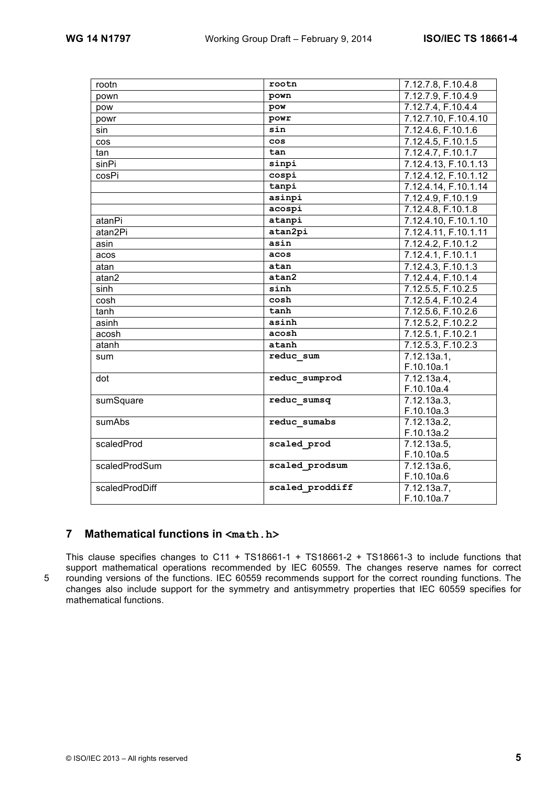| rootn          | rootn           | 7.12.7.8, F.10.4.8   |
|----------------|-----------------|----------------------|
| pown           | pown            | 7.12.7.9, F.10.4.9   |
| pow            | pow             | 7.12.7.4, F.10.4.4   |
| powr           | powr            | 7.12.7.10, F.10.4.10 |
| sin            | sin             | 7.12.4.6, F.10.1.6   |
| <b>COS</b>     | cos             | 7.12.4.5, F.10.1.5   |
| tan            | tan             | 7.12.4.7, F.10.1.7   |
| sinPi          | sinpi           | 7.12.4.13, F.10.1.13 |
| cosPi          | cospi           | 7.12.4.12, F.10.1.12 |
|                | tanpi           | 7.12.4.14, F.10.1.14 |
|                | asinpi          | 7.12.4.9, F.10.1.9   |
|                | acospi          | 7.12.4.8, F.10.1.8   |
| atanPi         | atanpi          | 7.12.4.10, F.10.1.10 |
| atan2Pi        | atan2pi         | 7.12.4.11, F.10.1.11 |
| asin           | asin            | 7.12.4.2, F.10.1.2   |
| acos           | acos            | 7.12.4.1, F.10.1.1   |
| atan           | atan            | 7.12.4.3, F.10.1.3   |
| atan2          | atan2           | 7.12.4.4, F.10.1.4   |
| sinh           | sinh            | 7.12.5.5, F.10.2.5   |
| cosh           | cosh            | 7.12.5.4, F.10.2.4   |
| tanh           | tanh            | 7.12.5.6, F.10.2.6   |
| asinh          | asinh           | 7.12.5.2, F.10.2.2   |
| acosh          | acosh           | 7.12.5.1, F.10.2.1   |
| atanh          | atanh           | 7.12.5.3, F.10.2.3   |
| sum            | reduc sum       | 7.12.13a.1,          |
|                |                 | F.10.10a.1           |
| dot            | reduc sumprod   | 7.12.13a.4,          |
|                |                 | F.10.10a.4           |
| sumSquare      | reduc sumsq     | 7.12.13a.3,          |
|                |                 | F.10.10a.3           |
| sumAbs         | reduc sumabs    | 7.12.13a.2           |
|                |                 | F.10.13a.2           |
| scaledProd     | scaled prod     | 7.12.13a.5,          |
|                |                 | F.10.10a.5           |
| scaledProdSum  | scaled prodsum  | 7.12.13a.6,          |
|                |                 | F.10.10a.6           |
| scaledProdDiff | scaled proddiff | 7.12.13a.7,          |
|                |                 | F.10.10a.7           |

# **7 Mathematical functions in <math.h>**

This clause specifies changes to C11 + TS18661-1 + TS18661-2 + TS18661-3 to include functions that support mathematical operations recommended by IEC 60559. The changes reserve names for correct 5 rounding versions of the functions. IEC 60559 recommends support for the correct rounding functions. The changes also include support for the symmetry and antisymmetry properties that IEC 60559 specifies for mathematical functions.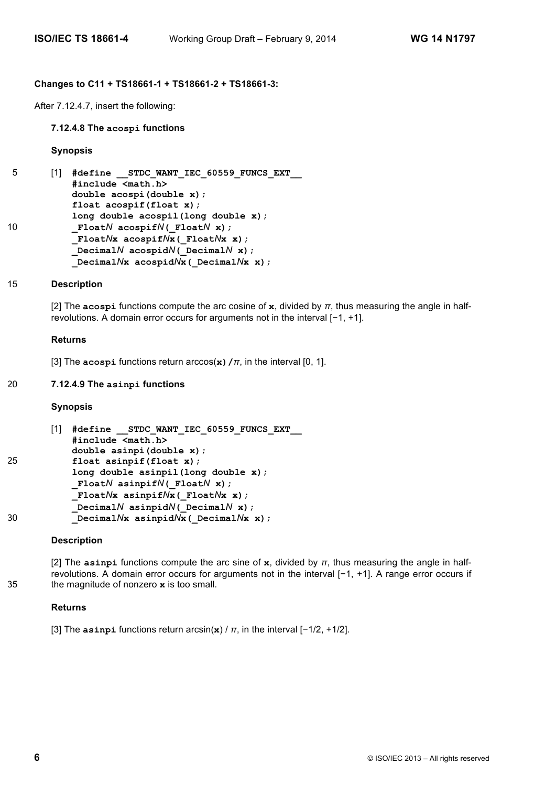#### **Changes to C11 + TS18661-1 + TS18661-2 + TS18661-3:**

After 7.12.4.7, insert the following:

#### **7.12.4.8 The acospi functions**

#### **Synopsis**

```
5 [1] #define __STDC_WANT_IEC_60559_FUNCS_EXT__
           #include <math.h>
           double acospi(double x);
           float acospif(float x);
           long double acospil(long double x);
10 _FloatN acospifN(_FloatN x);
           _FloatNx acospifNx(_FloatNx x);
           _DecimalN acospidN(_DecimalN x);
           _DecimalNx acospidNx(_DecimalNx x);
```
#### 15 **Description**

[2] The **acospi** functions compute the arc cosine of **x**, divided by *π*, thus measuring the angle in halfrevolutions. A domain error occurs for arguments not in the interval [−1, +1].

#### **Returns**

[3] The **acospi** functions return arccos(**x)/***π*, in the interval [0, 1].

#### 20 **7.12.4.9 The asinpi functions**

#### **Synopsis**

```
[1] #define __STDC_WANT_IEC_60559_FUNCS_EXT__
           #include <math.h>
           double asinpi(double x);
25 float asinpif(float x);
          long double asinpil(long double x);
          _FloatN asinpifN(_FloatN x);
          _FloatNx asinpifNx(_FloatNx x);
           _DecimalN asinpidN(_DecimalN x);
30 _DecimalNx asinpidNx(_DecimalNx x);
```
#### **Description**

[2] The **asinpi** functions compute the arc sine of **x**, divided by *π*, thus measuring the angle in halfrevolutions. A domain error occurs for arguments not in the interval [−1, +1]. A range error occurs if 35 the magnitude of nonzero **x** is too small.

#### **Returns**

[3] The **asinpi** functions return arcsin(**x**) / *π*, in the interval [−1/2, +1/2].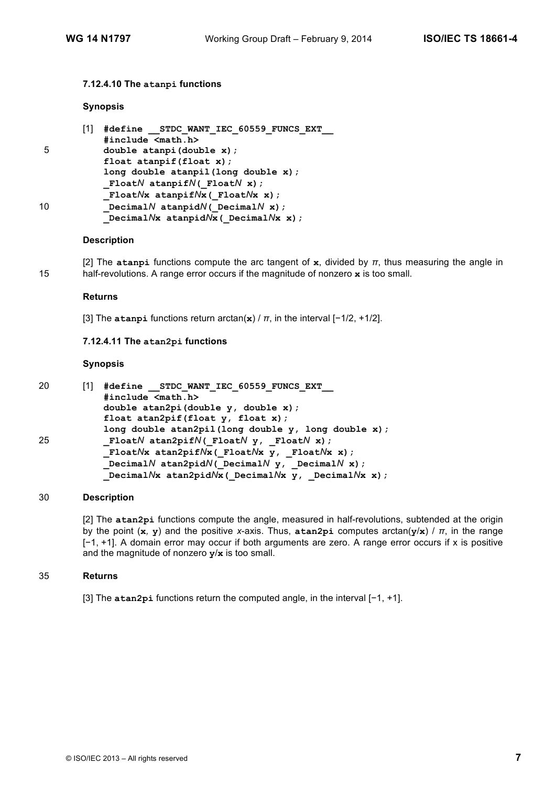## **7.12.4.10 The atanpi functions**

#### **Synopsis**

|    | [1] | #define STDC WANT IEC 60559 FUNCS EXT          |
|----|-----|------------------------------------------------|
|    |     | #include <math.h></math.h>                     |
| 5  |     | double atanpi (double x) ;                     |
|    |     | float atanpif(float $x$ );                     |
|    |     | long double atanpil (long double x);           |
|    |     | FloatN atanpifN( FloatN x);                    |
|    |     | FloatNx atanpifNx (FloatNx x) ;                |
| 10 |     | Decimal $N$ atanpid $N$ ( Decimal $N$ x);      |
|    |     | Decimal $N$ x atanpid $N$ x (Decimal $N$ x x); |

## **Description**

[2] The **atanpi** functions compute the arc tangent of **x**, divided by *π*, thus measuring the angle in 15 half-revolutions. A range error occurs if the magnitude of nonzero **x** is too small.

#### **Returns**

[3] The **atanpi** functions return arctan(**x**) / *π*, in the interval [−1/2, +1/2].

# **7.12.4.11 The atan2pi functions**

## **Synopsis**

| 20 | #define STDC WANT IEC 60559 FUNCS EXT                            |
|----|------------------------------------------------------------------|
|    | #include <math.h></math.h>                                       |
|    | double atan2pi(double y, double x);                              |
|    | float atan2pif(float $y$ , float $x$ );                          |
|    | long double atan2pil(long double $y$ , long double $x$ );        |
| 25 | FloatN atan2pifN(FloatN $y$ , FloatN x);                         |
|    | FloatNx atan2pifNx(FloatNx $y$ , FloatNx x);                     |
|    | Decimal $N$ atan2pid $N$ ( Decimal $N$ $y$ , Decimal $N$ $x$ );  |
|    | Decimal $N$ x atan2pid $N$ x (Decimal $N$ x y, Decimal $N$ x x); |

## 30 **Description**

[2] The **atan2pi** functions compute the angle, measured in half-revolutions, subtended at the origin by the point (**x***,* **y**) and the positive *x*-axis. Thus, **atan2pi** computes arctan(**y**/**x**) / *π*, in the range [−1, +1]. A domain error may occur if both arguments are zero. A range error occurs if x is positive and the magnitude of nonzero **y**/**x** is too small.

#### 35 **Returns**

[3] The **atan2pi** functions return the computed angle, in the interval [−1, +1].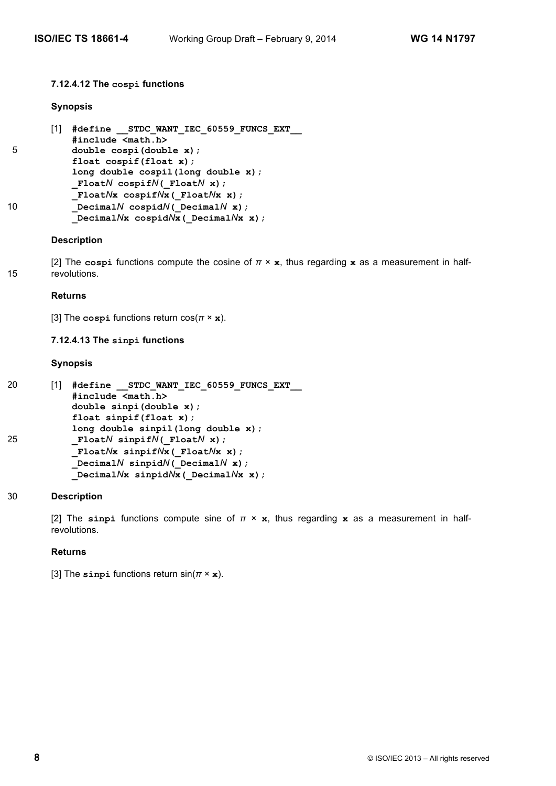# **7.12.4.12 The cospi functions**

# **Synopsis**

```
[1] #define __STDC_WANT_IEC_60559_FUNCS_EXT__
          #include <math.h>
5 double cospi(double x);
          float cospif(float x);
          long double cospil(long double x);
          _FloatN cospifN(_FloatN x);
          _FloatNx cospifNx(_FloatNx x);
10 _DecimalN cospidN(_DecimalN x);
          _DecimalNx cospidNx(_DecimalNx x);
```
# **Description**

[2] The **cospi** functions compute the cosine of *π* × **x**, thus regarding **x** as a measurement in half-15 revolutions.

## **Returns**

[3] The **cospi** functions return cos(*π* × **x**).

## **7.12.4.13 The sinpi functions**

## **Synopsis**

```
20 [1] #define STDC WANT IEC 60559 FUNCS EXT
           #include <math.h>
          double sinpi(double x);
           float sinpif(float x);
          long double sinpil(long double x);
25 _FloatN sinpifN(_FloatN x);
          _FloatNx sinpifNx(_FloatNx x);
          _DecimalN sinpidN(_DecimalN x);
          _DecimalNx sinpidNx(_DecimalNx x);
```
# 30 **Description**

[2] The **sinpi** functions compute sine of *π* × **x**, thus regarding **x** as a measurement in halfrevolutions.

## **Returns**

```
[3] The sinpi functions return sin(π × x).
```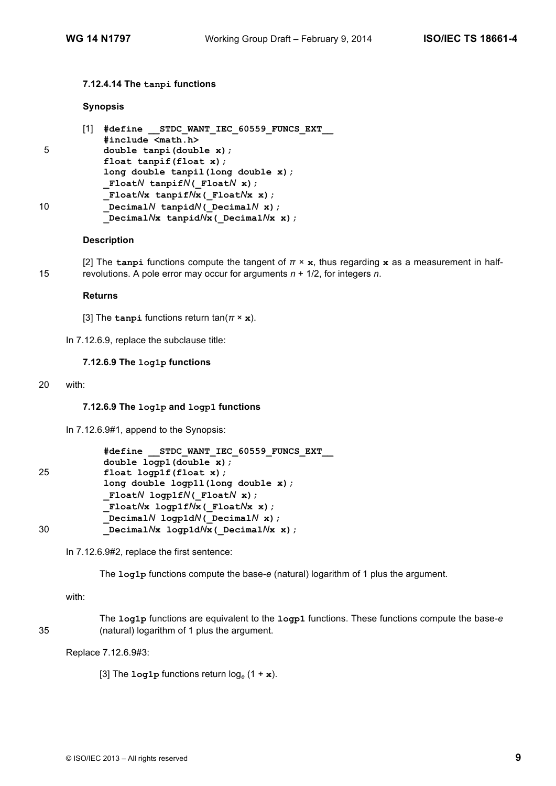## **7.12.4.14 The tanpi functions**

## **Synopsis**

|    | [1] | #define STDC WANT IEC 60559 FUNCS EXT         |
|----|-----|-----------------------------------------------|
|    |     | #include <math.h></math.h>                    |
| 5  |     | double tanpi(double x);                       |
|    |     | float $t$ anpif(float x);                     |
|    |     | long double tanpil(long double x);            |
|    |     | FloatN tanpifN( FloatN x);                    |
|    |     | FloatNx tanpifNx (FloatNx x) ;                |
| 10 |     | Decimal $N$ tanpid $N$ ( Decimal $N$ x);      |
|    |     | Decimal $N$ x tanpid $N$ x (Decimal $N$ x x); |

## **Description**

[2] The **tanpi** functions compute the tangent of *π* × **x**, thus regarding **x** as a measurement in half-15 revolutions. A pole error may occur for arguments *n* + 1/2, for integers *n*.

#### **Returns**

[3] The **tanpi** functions return  $\tan(\pi \times \mathbf{x})$ .

In 7.12.6.9, replace the subclause title:

# **7.12.6.9 The log1p functions**

20 with:

## **7.12.6.9 The log1p and logp1 functions**

In 7.12.6.9#1, append to the Synopsis:

```
#define __STDC_WANT_IEC_60559_FUNCS_EXT__
          double logp1(double x);
25 float logp1f(float x);
          long double logp1l(long double x);
           _FloatN logp1fN(_FloatN x);
           _FloatNx logp1fNx(_FloatNx x);
           _DecimalN logp1dN(_DecimalN x);
30 _DecimalNx logp1dNx(_DecimalNx x);
```
In 7.12.6.9#2, replace the first sentence:

The **log1p** functions compute the base-*e* (natural) logarithm of 1 plus the argument.

with:

The **log1p** functions are equivalent to the **logp1** functions. These functions compute the base-*e*  35 (natural) logarithm of 1 plus the argument.

Replace 7.12.6.9#3:

[3] The  $\text{log1p}$  functions return  $\log_e(1 + \mathbf{x})$ .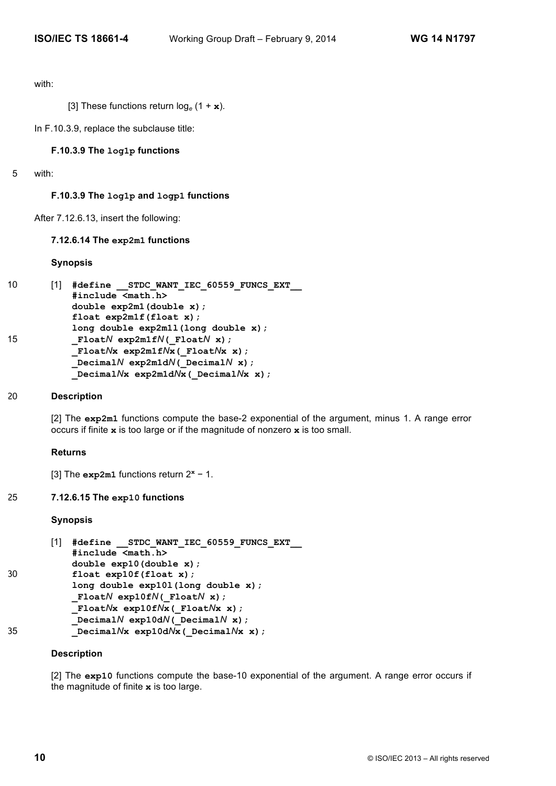with:

[3] These functions return log*<sup>e</sup>* (1 + **x**).

In F.10.3.9, replace the subclause title:

## **F.10.3.9 The log1p functions**

5 with:

## **F.10.3.9 The log1p and logp1 functions**

After 7.12.6.13, insert the following:

#### **7.12.6.14 The exp2m1 functions**

#### **Synopsis**

```
10 [1] #define STDC WANT IEC 60559 FUNCS EXT
           #include <math.h>
           double exp2m1(double x);
           float exp2m1f(float x);
          long double exp2m1l(long double x);
15 _FloatN exp2m1fN(_FloatN x);
          _FloatNx exp2m1fNx(_FloatNx x);
          _DecimalN exp2m1dN(_DecimalN x);
          _DecimalNx exp2m1dNx(_DecimalNx x);
```
# 20 **Description**

[2] The **exp2m1** functions compute the base-2 exponential of the argument, minus 1. A range error occurs if finite **x** is too large or if the magnitude of nonzero **x** is too small.

#### **Returns**

[3] The **exp2m1** functions return 2**<sup>x</sup>** − 1.

## 25 **7.12.6.15 The exp10 functions**

#### **Synopsis**

```
[1] #define __STDC_WANT_IEC_60559_FUNCS_EXT__
           #include <math.h>
          double exp10(double x);
30 float exp10f(float x);
          long double exp10l(long double x);
          _FloatN exp10fN(_FloatN x);
          _FloatNx exp10fNx(_FloatNx x);
           _DecimalN exp10dN(_DecimalN x);
35 _DecimalNx exp10dNx(_DecimalNx x);
```
#### **Description**

[2] The **exp10** functions compute the base-10 exponential of the argument. A range error occurs if the magnitude of finite **x** is too large.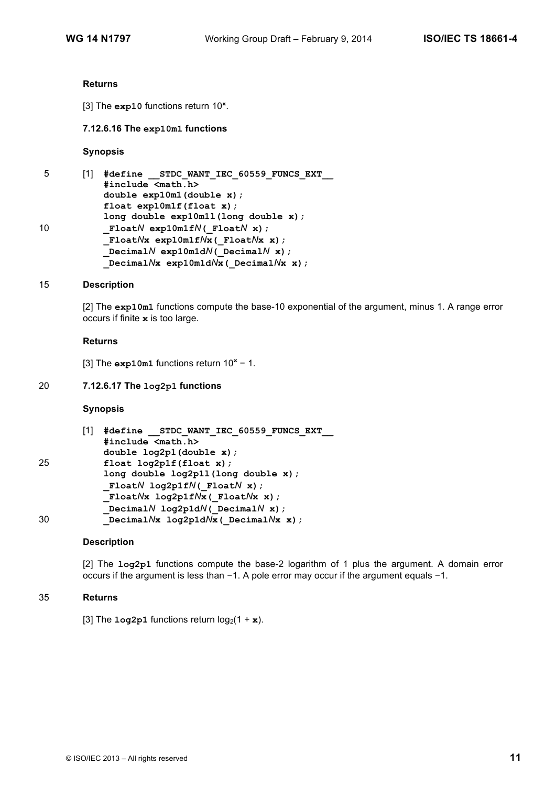#### **Returns**

[3] The **exp10** functions return 10**<sup>x</sup>** .

#### **7.12.6.16 The exp10m1 functions**

#### **Synopsis**

| 5  | #define STDC WANT IEC 60559 FUNCS EXT           |
|----|-------------------------------------------------|
|    | #include <math.h></math.h>                      |
|    | double $exp10m1$ (double x);                    |
|    | float $exp10m1f(fload x);$                      |
|    | long double $exp10m11$ (long double x);         |
| 10 | Float $N$ exp10m1f $N($ Float $N$ x);           |
|    | Float $N$ x exp10m1f $N$ x (Float $N$ x x);     |
|    | Decimal $N$ exp10m1d $N$ ( Decimal $N$ x);      |
|    | Decimal $N$ x exp10m1d $N$ x (Decimal $N$ x x); |

#### 15 **Description**

[2] The **exp10m1** functions compute the base-10 exponential of the argument, minus 1. A range error occurs if finite **x** is too large.

#### **Returns**

[3] The **exp10m1** functions return 10**<sup>x</sup>** − 1.

## 20 **7.12.6.17 The log2p1 functions**

## **Synopsis**

```
[1] #define __STDC_WANT_IEC_60559_FUNCS_EXT__
           #include <math.h>
           double log2p1(double x);
25 float log2p1f(float x);
           long double log2p1l(long double x);
           _FloatN log2p1fN(_FloatN x);
           _FloatNx log2p1fNx(_FloatNx x);
           _DecimalN log2p1dN(_DecimalN x);
30 _DecimalNx log2p1dNx(_DecimalNx x);
```
#### **Description**

[2] The **log2p1** functions compute the base-2 logarithm of 1 plus the argument. A domain error occurs if the argument is less than −1. A pole error may occur if the argument equals −1.

#### 35 **Returns**

[3] The  $\text{Log2p1}$  functions return  $\log_2(1 + \mathbf{x})$ .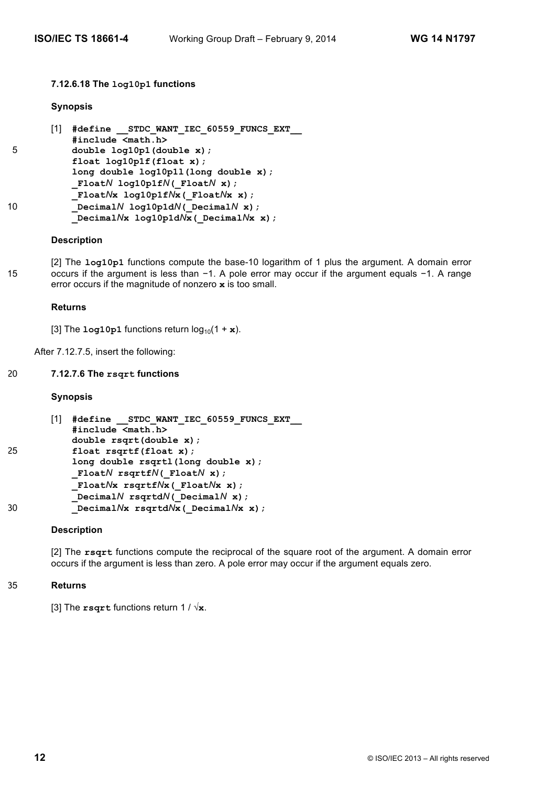# **7.12.6.18 The log10p1 functions**

## **Synopsis**

```
[1] #define __STDC_WANT_IEC_60559_FUNCS_EXT__
           #include <math.h>
5 double log10p1(double x);
           float log10p1f(float x);
           long double log10p1l(long double x);
          _FloatN log10p1fN(_FloatN x);
          _FloatNx log10p1fNx(_FloatNx x);
10 _DecimalN log10p1dN(_DecimalN x);
          _DecimalNx log10p1dNx(_DecimalNx x);
```
## **Description**

[2] The **log10p1** functions compute the base-10 logarithm of 1 plus the argument. A domain error 15 occurs if the argument is less than −1. A pole error may occur if the argument equals −1. A range error occurs if the magnitude of nonzero **x** is too small.

## **Returns**

[3] The  $\text{log}_10\text{p1}$  functions return  $\log_{10}(1 + \textbf{x})$ .

After 7.12.7.5, insert the following:

## 20 **7.12.7.6 The rsqrt functions**

## **Synopsis**

```
[1] #define __STDC_WANT_IEC_60559_FUNCS_EXT__
           #include <math.h>
           double rsqrt(double x);
25 float rsqrtf(float x);
          long double rsqrtl(long double x);
          _FloatN rsqrtfN(_FloatN x);
          _FloatNx rsqrtfNx(_FloatNx x);
           _DecimalN rsqrtdN(_DecimalN x);
30 _DecimalNx rsqrtdNx(_DecimalNx x);
```
## **Description**

[2] The **rsqrt** functions compute the reciprocal of the square root of the argument. A domain error occurs if the argument is less than zero. A pole error may occur if the argument equals zero.

## 35 **Returns**

[3] The **rsqrt** functions return 1 / √**x**.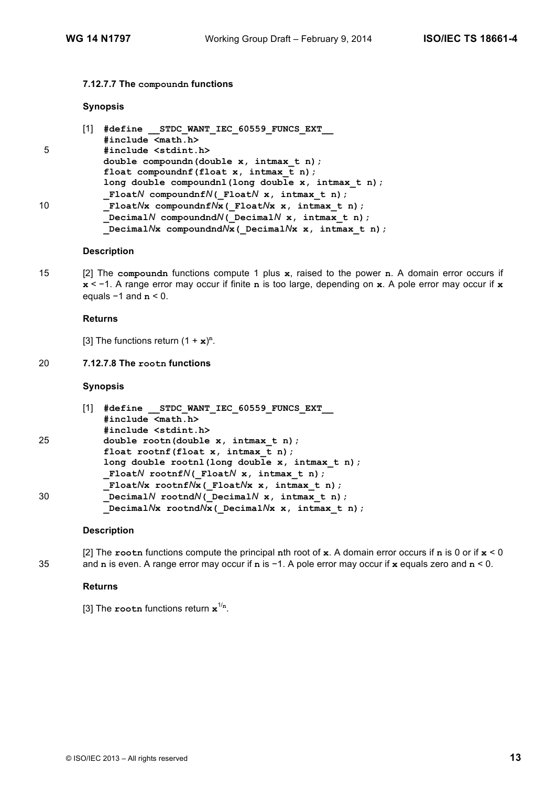## **7.12.7.7 The compoundn functions**

## **Synopsis**

|    | #define STDC WANT IEC 60559 FUNCS EXT                                                           |
|----|-------------------------------------------------------------------------------------------------|
|    | #include <math.h></math.h>                                                                      |
| 5  | #include <stdint.h></stdint.h>                                                                  |
|    | double compound (double $x$ , intmax $t$ n);                                                    |
|    | float compoundnf (float $x$ , intmax $t$ n);                                                    |
|    | long double compoundnl(long double x, intmax t n);<br>FloatN compoundnfN(FloatN x, intmax t n); |
| 10 | FloatNx compoundnfNx (FloatNx x, intmax t n);                                                   |
|    | DecimalN compoundndN( DecimalN $x$ , intmax t n);                                               |
|    | Decimal $N$ x compoundnd $N$ x (Decimal $N$ x x, intmax t n);                                   |

# **Description**

15 [2] The **compoundn** functions compute 1 plus **x**, raised to the power **n**. A domain error occurs if **x** < −1. A range error may occur if finite **n** is too large, depending on **x**. A pole error may occur if **x** equals −1 and **n** < 0.

#### **Returns**

[3] The functions return  $(1 + x)^n$ .

# 20 **7.12.7.8 The rootn functions**

## **Synopsis**

|    | #define STDC WANT IEC 60559 FUNCS EXT                     |
|----|-----------------------------------------------------------|
| 25 | #include <math.h></math.h>                                |
|    | #include <stdint.h></stdint.h>                            |
|    | double rootn(double x, intmax t n);                       |
|    | float rootnf(float $x$ , intmax $t$ n);                   |
|    | long double rootnl(long double $x$ , intmax $t$ n);       |
|    | FloatN rootnfN( FloatN $x$ , intmax t n);                 |
|    | FloatNx rootnfNx( FloatNx $x$ , intmax $t$ n);            |
| 30 | Decimal $N$ rootnd $N$ ( Decimal $N$ x, intmax t n);      |
|    | Decimal $N$ x rootnd $N$ x (Decimal $N$ x x, intmax t n); |

## **Description**

[2] The **rootn** functions compute the principal **n**th root of **x**. A domain error occurs if **n** is 0 or if **x** < 0 35 and **n** is even. A range error may occur if **n** is −1. A pole error may occur if **x** equals zero and **n** < 0.

# **Returns**

```
[3] The rootn functions return x1/n
.
```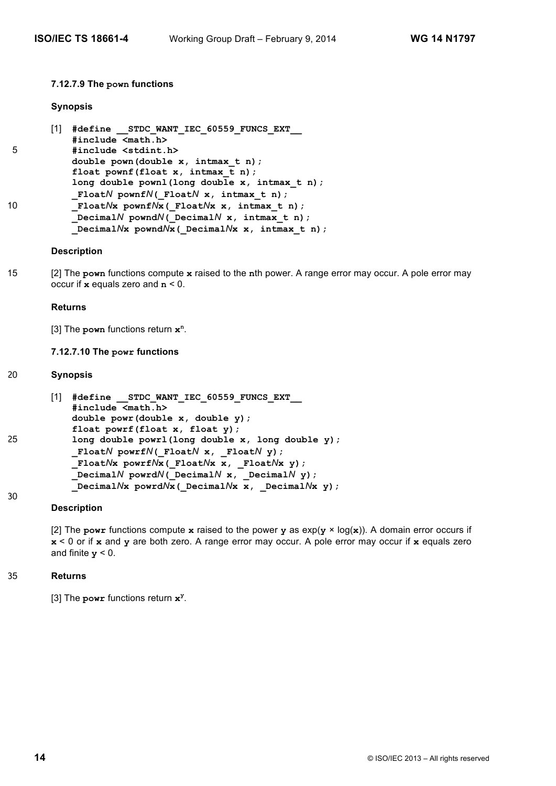#### **7.12.7.9 The pown functions**

#### **Synopsis**

|    | #define STDC WANT IEC 60559 FUNCS EXT                    |
|----|----------------------------------------------------------|
|    | #include <math.h></math.h>                               |
| 5  | #include <stdint.h></stdint.h>                           |
|    | double pown(double $x$ , intmax $t$ n);                  |
|    | float pownf(float $x$ , intmax $t$ n);                   |
|    | long double pownl(long double $x$ , intmax $t$ n);       |
| 10 | FloatN pownfN( FloatN $x$ , intmax t n);                 |
|    | FloatNx pownfNx (FloatNx x, intmax t n);                 |
|    | Decimal $N$ pownd $N($ Decimal $N$ x, intmax t n);       |
|    | Decimal $N$ x pownd $N$ x (Decimal $N$ x x, intmax t n); |

#### **Description**

15 [2] The **pown** functions compute **x** raised to the **n**th power. A range error may occur. A pole error may occur if **x** equals zero and **n** < 0.

#### **Returns**

[3] The **pown** functions return **x<sup>n</sup>** .

# **7.12.7.10 The powr functions**

#### 20 **Synopsis**

```
[1] #define __STDC_WANT_IEC_60559_FUNCS_EXT__
           #include <math.h>
           double powr(double x, double y);
           float powrf(float x, float y);
25 long double powrl(long double x, long double y);
           _FloatN powrfN(_FloatN x, _FloatN y);
           _FloatNx powrfNx(_FloatNx x, _FloatNx y);
           _DecimalN powrdN(_DecimalN x, _DecimalN y);
           _DecimalNx powrdNx(_DecimalNx x, _DecimalNx y);
```
#### **Description**

[2] The **powr** functions compute **x** raised to the power **y** as  $exp(y \times log(x))$ . A domain error occurs if **x** < 0 or if **x** and **y** are both zero. A range error may occur. A pole error may occur if **x** equals zero and finite  $y < 0$ .

#### 35 **Returns**

30

[3] The **powr** functions return **x<sup>y</sup>** .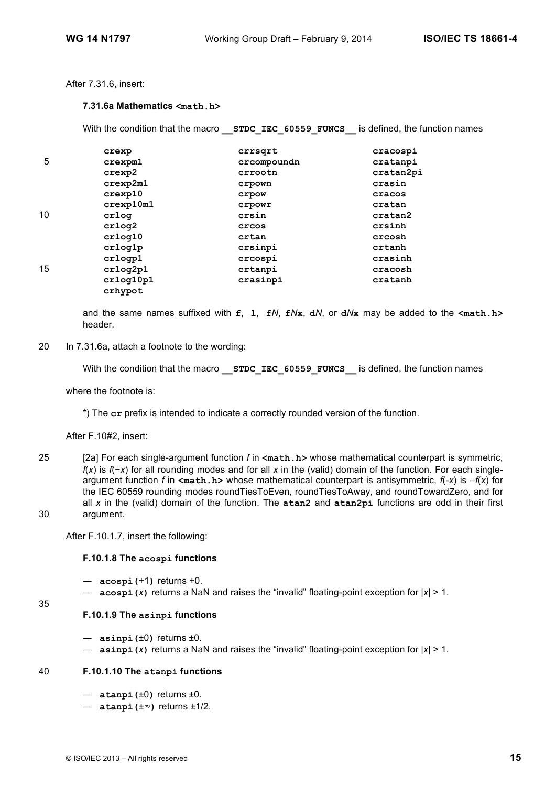# After 7.31.6, insert:

# **7.31.6a Mathematics <math.h>**

With the condition that the macro **STDC IEC 60559 FUNCS** is defined, the function names

|    | crexp         | crrsqrt     | cracospi  |
|----|---------------|-------------|-----------|
| 5  | crexpm1       | crcompoundn | cratanpi  |
|    | crexp2        | crrootn     | cratan2pi |
|    | crexp2m1      | crpown      | crasin    |
|    | $c$ rexp $10$ | crpow       | cracos    |
|    | crexp10m1     | crpowr      | cratan    |
| 10 | crlog         | crsin       | cratan2   |
|    | crlog2        | crcos       | crsinh    |
|    | crloq10       | crtan       | crcosh    |
|    | crlog1p       | crsinpi     | crtanh    |
|    | crlogp1       | crcospi     | crasinh   |
| 15 | crlog2p1      | crtanpi     | cracosh   |
|    | crlog10p1     | crasinpi    | cratanh   |
|    | crhypot       |             |           |

and the same names suffixed with **f**, **l**, **f***N*, **f***N***x**, **d***N*, or **d***N***x** may be added to the **<math.h>** header.

20 In 7.31.6a, attach a footnote to the wording:

With the condition that the macro **STDC IEC 60559 FUNCS** is defined, the function names

where the footnote is:

\*) The **cr** prefix is intended to indicate a correctly rounded version of the function.

After F.10#2, insert:

25 [2a] For each single-argument function *f* in **<math.h>** whose mathematical counterpart is symmetric, *f*(*x*) is *f*(−*x*) for all rounding modes and for all *x* in the (valid) domain of the function. For each singleargument function *f* in **<math.h>** whose mathematical counterpart is antisymmetric, *f*(-*x*) is –*f*(*x*) for the IEC 60559 rounding modes roundTiesToEven, roundTiesToAway, and roundTowardZero, and for all *x* in the (valid) domain of the function. The **atan2** and **atan2pi** functions are odd in their first 30 argument.

After F.10.1.7, insert the following:

# **F.10.1.8 The acospi functions**

- **acospi(**+1**)** returns +0.
- **acospi(***x***)** returns a NaN and raises the "invalid" floating-point exception for |*x*| > 1.

#### 35

## **F.10.1.9 The asinpi functions**

- $-$  asinpi $(±0)$  returns  $±0$ .
- **asinpi(***x***)** returns a NaN and raises the "invalid" floating-point exception for |*x*| > 1.

#### 40 **F.10.1.10 The atanpi functions**

- **atanpi(**±0**)** returns ±0.
- **atanpi(**±∞**)** returns ±1/2.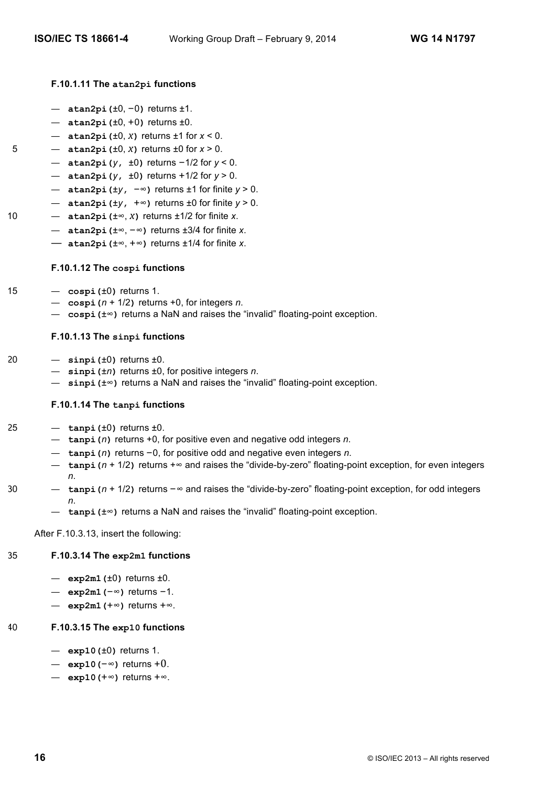# **F.10.1.11 The atan2pi functions**

- **atan2pi(**±0, −0**)** returns ±1.
- **atan2pi(**±0, +0**)** returns ±0.
- **atan2pi(**±0, *x***)** returns ±1 for *x* < 0.
- 5 **atan2pi(**±0, *x***)** returns ±0 for *x* > 0.
	- **atan2pi(***y***,** ±0**)** returns −1/2 for *y* < 0.
	- **atan2pi(***y***,** ±0**)** returns +1/2 for *y* > 0.
	- **atan2pi(**±*y***,** −∞**)** returns ±1 for finite *y* > 0.
	- **atan2pi(**±*y***,** +∞**)** returns ±0 for finite *y* > 0.
- 10  $\alpha$  **atan2pi** ( $\pm \infty$ , *x*) returns  $\pm 1/2$  for finite *x*.
	- **atan2pi(**±∞, −∞**)** returns ±3/4 for finite *x*.
	- **atan2pi(**±∞, +∞**)** returns ±1/4 for finite *x*.

## **F.10.1.12 The cospi functions**

- 15  $-$  cospi $(±0)$  returns 1.
	- **cospi(***n* + 1/2**)** returns +0, for integers *n*.
	- **cospi(**±∞**)** returns a NaN and raises the "invalid" floating-point exception.

# **F.10.1.13 The sinpi functions**

- 20 **sinpi(**±0**)** returns ±0.
	- **sinpi(**±*n***)** returns ±0, for positive integers *n*.
	- **sinpi(**±∞**)** returns a NaN and raises the "invalid" floating-point exception.

## **F.10.1.14 The tanpi functions**

- $25 \tan\left(\frac{1}{2}\right)$  returns  $\pm 0$ .
	- **tanpi(***n***)** returns +0, for positive even and negative odd integers *n*.
	- **tanpi(***n***)** returns −0, for positive odd and negative even integers *n*.
	- **tanpi(***n* + 1/2**)** returns +∞ and raises the "divide-by-zero" floating-point exception, for even integers *n*.
- 30 **tanpi(***n* + 1/2**)** returns −∞ and raises the "divide-by-zero" floating-point exception, for odd integers *n*.
	- **tanpi(**±∞**)** returns a NaN and raises the "invalid" floating-point exception.

After F.10.3.13, insert the following:

# 35 **F.10.3.14 The exp2m1 functions**

- **exp2m1(**±0**)** returns ±0.
- **exp2m1(**−∞**)** returns −1.
- **exp2m1(**+∞**)** returns +∞.

# 40 **F.10.3.15 The exp10 functions**

- **exp10(**±0**)** returns 1.
- **exp10(**−∞**)** returns +0.
- **exp10(**+∞**)** returns +∞.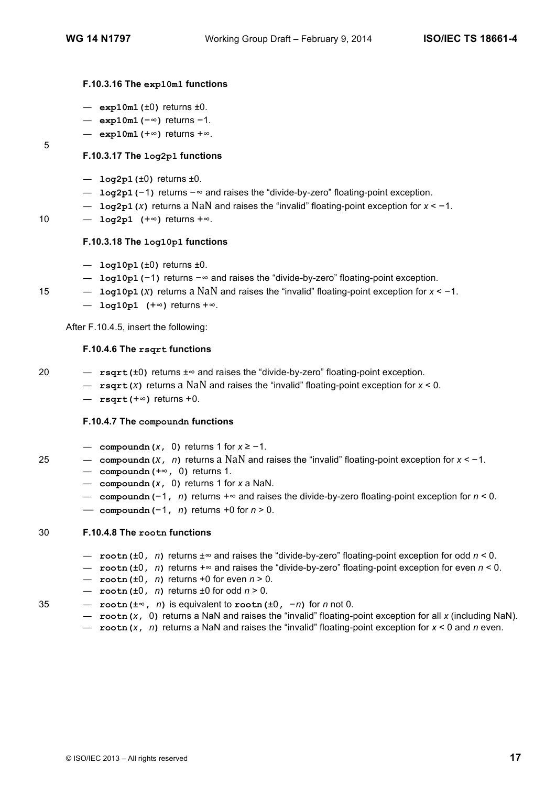## **F.10.3.16 The exp10m1 functions**

- **exp10m1(**±0**)** returns ±0.
- **exp10m1(**−∞**)** returns −1.
- **exp10m1(**+∞**)** returns +∞.

5

- **F.10.3.17 The log2p1 functions**
- **log2p1(**±0**)** returns ±0.
- **log2p1(**−1**)** returns −∞ and raises the "divide-by-zero" floating-point exception.
- **log2p1(***x***)** returns a NaN and raises the "invalid" floating-point exception for *x* < −1.
- 10 **log2p1 (**+∞**)** returns +∞.

## **F.10.3.18 The log10p1 functions**

- **log10p1(**±0**)** returns ±0.
- **log10p1(**−1**)** returns −∞ and raises the "divide-by-zero" floating-point exception.
- 15 **log10p1(***x***)** returns a NaN and raises the "invalid" floating-point exception for *x* < −1.
	- **log10p1 (**+∞**)** returns +∞.

After F.10.4.5, insert the following:

## **F.10.4.6 The rsqrt functions**

- 20 **rsqrt(**±0**)** returns ±∞ and raises the "divide-by-zero" floating-point exception.
	- **rsqrt(***x***)** returns a NaN and raises the "invalid" floating-point exception for *x* < 0.
	- **rsqrt(**+∞**)** returns +0.

## **F.10.4.7 The compoundn functions**

- **compoundn(***x***,** 0**)** returns 1 for *x* ≥ −1.
- 25 **compoundn(***x***,** *n***)** returns a NaN and raises the "invalid" floating-point exception for *x* < −1.
	- **compoundn(***+*∞**,** 0**)** returns 1.
	- **compoundn(***x***,** 0**)** returns 1 for *x* a NaN.
	- **compoundn(**−1**,** *n***)** returns +∞ and raises the divide-by-zero floating-point exception for *n* < 0.
	- **compoundn(**−1**,** *n***)** returns +0 for *n* > 0.

## 30 **F.10.4.8 The rootn functions**

- **rootn(**±0**,** *n***)** returns ±∞ and raises the "divide-by-zero" floating-point exception for odd *n* < 0.
- **rootn(**±0**,** *n***)** returns *+*∞ and raises the "divide-by-zero" floating-point exception for even *n* < 0.
- **rootn(**±0**,** *n***)** returns +0 for even *n* > 0.
- **rootn(**±0**,** *n***)** returns ±0 for odd *n* > 0.
- 35 **rootn(**±∞**,** *n***)** is equivalent to **rootn(**±0**,** −*n***)** for *n* not 0.
	- **rootn(***x***,** 0**)** returns a NaN and raises the "invalid" floating-point exception for all *x* (including NaN).
	- **rootn(***x***,** *n***)** returns a NaN and raises the "invalid" floating-point exception for *x* < 0 and *n* even.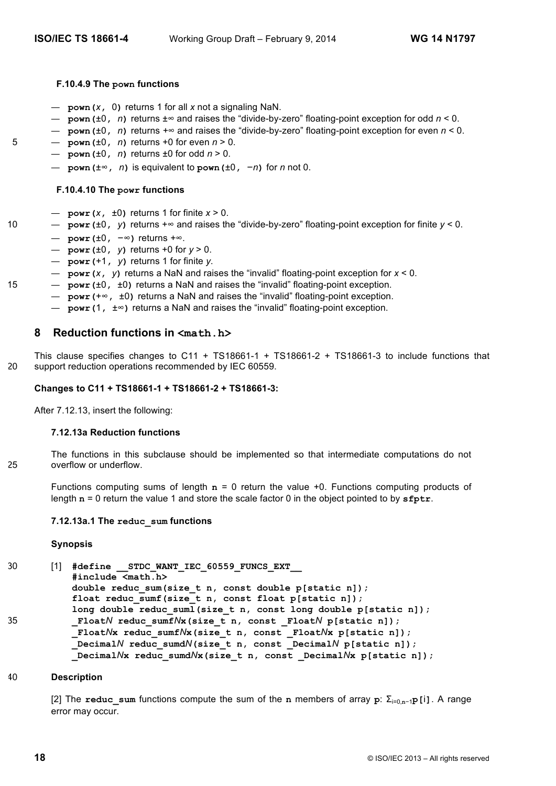# **F.10.4.9 The pown functions**

- **pown(***x***,** 0**)** returns 1 for all *x* not a signaling NaN.
- **pown(**±0**,** *n***)** returns ±∞ and raises the "divide-by-zero" floating-point exception for odd *n* < 0.
- **pown(**±0**,** *n***)** returns *+*∞ and raises the "divide-by-zero" floating-point exception for even *n* < 0.
- 5  $-$  **pown** ( $\pm 0$ , *n*) returns +0 for even  $n > 0$ .
	- $-$  **pown** ( $\pm 0$ , *n*) returns  $\pm 0$  for odd  $n > 0$ .
		- **pown(**±∞**,** *n***)** is equivalent to **pown(**±0**,** −*n***)** for *n* not 0.

# **F.10.4.10 The powr functions**

- $-$  **powr** (*x*,  $\pm 0$ ) returns 1 for finite  $x > 0$ .
- 10 **powr(**±0**,** *y***)** returns +∞ and raises the "divide-by-zero" floating-point exception for finite *y* < 0.
	- **powr(**±0**,** −∞**)** returns *+*∞.
	- **powr(**±0**,** *y***)** returns +0 for *y* > 0.
	- **powr(**+1**,** *y***)** returns 1 for finite *y*.
	- **powr(***x***,** *y***)** returns a NaN and raises the "invalid" floating-point exception for *x* < 0.
- 15 **powr(**±0**,** ±0**)** returns a NaN and raises the "invalid" floating-point exception.
	- **powr(**+∞**,** ±0**)** returns a NaN and raises the "invalid" floating-point exception.
	- **powr(**1**,** ±∞**)** returns a NaN and raises the "invalid" floating-point exception.

# **8 Reduction functions in <math.h>**

This clause specifies changes to C11 + TS18661-1 + TS18661-2 + TS18661-3 to include functions that 20 support reduction operations recommended by IEC 60559.

# **Changes to C11 + TS18661-1 + TS18661-2 + TS18661-3:**

After 7.12.13, insert the following:

# **7.12.13a Reduction functions**

The functions in this subclause should be implemented so that intermediate computations do not 25 overflow or underflow.

Functions computing sums of length **n** = 0 return the value +0. Functions computing products of length **n** = 0 return the value 1 and store the scale factor 0 in the object pointed to by **sfptr**.

# **7.12.13a.1 The reduc\_sum functions**

# **Synopsis**

30 [1] **#define \_\_STDC\_WANT\_IEC\_60559\_FUNCS\_EXT\_\_ #include <math.h> double reduc\_sum(size\_t n, const double p[static n]); float reduc\_sumf(size\_t n, const float p[static n]); long double reduc\_suml(size\_t n, const long double p[static n]);** 35 **\_Float***N* **reduc\_sumf***N***x(size\_t n, const \_Float***N* **p[static n]); \_Float***N***x reduc\_sumf***N***x(size\_t n, const \_Float***N***x p[static n]); \_Decimal***N* **reduc\_sumd***N***(size\_t n, const \_Decimal***N* **p[static n]); \_Decimal***N***x reduc\_sumd***N***x(size\_t n, const \_Decimal***N***x p[static n]);**

# 40 **Description**

[2] The **reduc\_sum** functions compute the sum of the **n** members of array **p**: Σi=0,**n**−1**p[**i**]**. A range error may occur.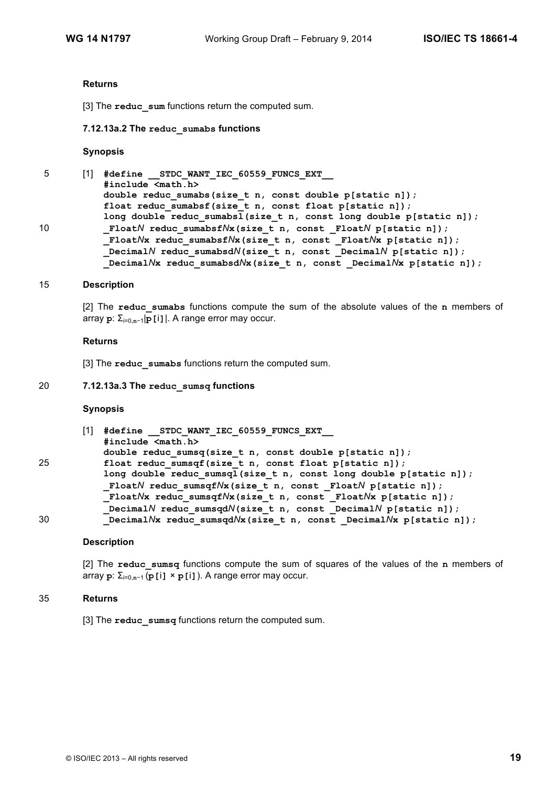#### **Returns**

[3] The **reduc** sum functions return the computed sum.

#### **7.12.13a.2 The reduc\_sumabs functions**

#### **Synopsis**

5 [1] **#define \_\_STDC\_WANT\_IEC\_60559\_FUNCS\_EXT\_\_ #include <math.h> double reduc\_sumabs(size\_t n, const double p[static n]);** float **reduc** sumabsf(size t n, const float  $p[static n]$ ); **long double reduc\_sumabsl(size\_t n, const long double p[static n]);** 10 **\_Float***N* **reduc\_sumabsf***N***x(size\_t n, const \_Float***N* **p[static n]); \_Float***N***x reduc\_sumabsf***N***x(size\_t n, const \_Float***N***x p[static n]); \_Decimal***N* **reduc\_sumabsd***N***(size\_t n, const \_Decimal***N* **p[static n]);**

#### Decimal $N$ **x** reduc sumabsd $N$ **x**(size t n, const Decimal $N$ **x** p[static n]);

#### 15 **Description**

[2] The **reduc\_sumabs** functions compute the sum of the absolute values of the **n** members of array **p**: Σi=0,**n**<sup>−</sup>1|**p[**i**]**|. A range error may occur.

#### **Returns**

[3] The **reduc** sumabs functions return the computed sum.

#### 20 **7.12.13a.3 The reduc\_sumsq functions**

## **Synopsis**

|    | [1] | #define STDC WANT IEC 60559 FUNCS EXT                              |
|----|-----|--------------------------------------------------------------------|
|    |     | #include <math.h></math.h>                                         |
|    |     | double reduc sumsq(size t n, const double $p[static n])$ ;         |
| 25 |     | float reduc sumsqf(size t n, const float $p[static n])$ ;          |
|    |     | long double reduc sumsql(size t n, const long double p[static n]); |
|    |     | FloatN reduc sumsqfNx(size t n, const FloatN p[static n]);         |
|    |     | FloatNx reduc sumsqfNx(size t n, const FloatNx p[static n]);       |
|    |     | Decimal N reduc sumsqdN(size t n, const Decimal N p[static n]);    |
| 30 |     | DecimalNx reduc sumsqdNx (size t n, const DecimalNx p[static n]);  |

## **Description**

[2] The **reduc\_sumsq** functions compute the sum of squares of the values of the **n** members of array **p**: Σi=0,**n**−<sup>1</sup> (**p[**i**]** × **p[**i**]**). A range error may occur.

## 35 **Returns**

[3] The **reduc\_sumsq** functions return the computed sum.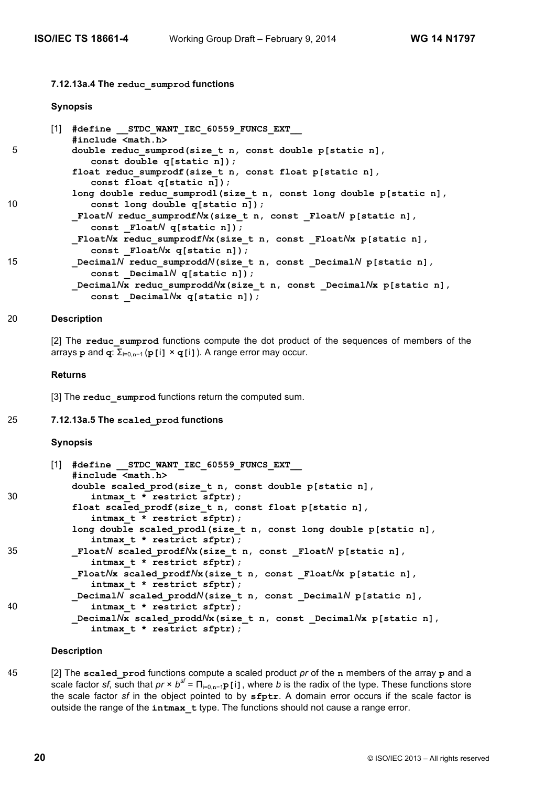## **7.12.13a.4 The reduc\_sumprod functions**

#### **Synopsis**

|    | $[1]$ | #define STDC WANT IEC 60559 FUNCS EXT                                                                       |
|----|-------|-------------------------------------------------------------------------------------------------------------|
|    |       | #include <math.h></math.h>                                                                                  |
| 5  |       | double reduc sumprod(size t n, const double p[static n],<br>const double q[static n]);                      |
|    |       | float reduc sumprodf(size t n, const float p[static n],<br>const float q[static n]);                        |
|    |       | long double reduc sumprodl(size t n, const long double p[static n],                                         |
| 10 |       | const long double q[static n]);                                                                             |
|    |       | FloatN reduc sumprodfNx(size t n, const FloatN p[static n],<br>const Float $N$ q[static n]);                |
|    |       | FloatNx reduc sumprodfNx(size t n, const FloatNx p[static n],<br>const Float $Nx$ q[static n]);             |
| 15 |       |                                                                                                             |
|    |       | Decimal $N$ reduc sumprodd $N$ (size t n, const Decimal $N$ p[static n],<br>const Decimal $N$ q[static n]); |
|    |       | DecimalNx reduc sumproddNx(size t n, const DecimalNx p[static n],                                           |
|    |       | const DecimalNx q[static n]);                                                                               |

#### 20 **Description**

[2] The reduc sumprod functions compute the dot product of the sequences of members of the arrays **p** and **q**: Σi=0,**n**−<sup>1</sup> (**p[**i**]** × **q[**i**]**). A range error may occur.

#### **Returns**

[3] The reduc sumprod functions return the computed sum.

#### 25 **7.12.13a.5 The scaled\_prod functions**

#### **Synopsis**

|    | [1] #define STDC WANT IEC 60559 FUNCS EXT<br>#include <math.h></math.h>                                |
|----|--------------------------------------------------------------------------------------------------------|
| 30 | double scaled prod(size t n, const double p[static n],<br>intmax $t *$ restrict sfptr);                |
|    | float scaled prodf(size t n, const float p[static n],<br>intmax t * restrict sfptr);                   |
|    | long double scaled prodl(size t n, const long double p[static n],<br>intmax $t *$ restrict sfptr);     |
| 35 | FloatN scaled prodfNx(size t n, const FloatN p[static n],<br>intmax t * restrict sfptr);               |
|    | FloatNx scaled prodfNx(size t n, const FloatNx p[static n],<br>intmax $t *$ restrict sfptr);           |
|    | DecimalN scaled $\text{proddN}(\text{size } t n, \text{ const } \text{ DecimalN} p(\text{static } n),$ |
| 40 | intmax $t *$ restrict sfptr);                                                                          |
|    | DecimalNx scaled proddNx(size t n, const DecimalNx p[static n],<br>intmax $t *$ restrict sfptr);       |

# **Description**

45 [2] The **scaled\_prod** functions compute a scaled product *pr* of the **n** members of the array **p** and a scale factor *sf*, such that  $pr \times b^{sf} = \prod_{i=0,n-1}p[i]$ , where *b* is the radix of the type. These functions store the scale factor *sf* in the object pointed to by **sfptr**. A domain error occurs if the scale factor is outside the range of the **intmax\_t** type. The functions should not cause a range error.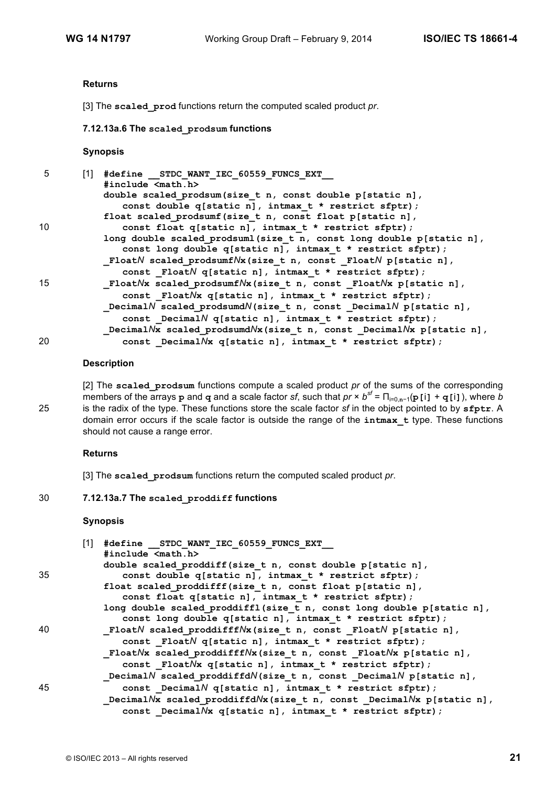#### **Returns**

[3] The **scaled\_prod** functions return the computed scaled product *pr*.

**7.12.13a.6 The scaled\_prodsum functions**

#### **Synopsis**

| 5  | [1] | #define STDC WANT IEC 60559 FUNCS EXT                                |
|----|-----|----------------------------------------------------------------------|
|    |     | #include <math.h></math.h>                                           |
|    |     | double scaled prodsum(size t n, const double p[static n],            |
|    |     | const double q[static n], intmax t * restrict sfptr);                |
|    |     | float scaled prodsumf(size t n, const float p[static n],             |
| 10 |     | const float q[static n], intmax t * restrict sfptr);                 |
|    |     | long double scaled prodsuml(size t n, const long double p[static n], |
|    |     | const long double q[static n], intmax t * restrict sfptr);           |
|    |     | FloatN scaled prodsumfNx(size t n, const FloatN p[static n],         |
|    |     | const Float $N$ q[static n], intmax $t *$ restrict sfptr);           |
| 15 |     | FloatNx scaled prodsumfNx (size t n, const FloatNx p[static n],      |
|    |     | const Float/Yx q[static n], intmax t * restrict sfptr);              |
|    |     | DecimalN scaled prodsumdN(size t n, const DecimalN p[static n],      |
|    |     | const DecimalN q[static n], intmax t * restrict sfptr);              |
|    |     | DecimalNx scaled prodsumdNx (size t n, const DecimalNx p[static n],  |
| 20 |     | const DecimalNx q[static n], intmax t * restrict sfptr);             |

# **Description**

[2] The **scaled\_prodsum** functions compute a scaled product *pr* of the sums of the corresponding members of the arrays **p** and **q** and a scale factor *sf*, such that  $pr \times b^{sf} = \prod_{i=0,n-1}(p[i] + q[i])$ , where *b* 25 is the radix of the type. These functions store the scale factor *sf* in the object pointed to by **sfptr**. A domain error occurs if the scale factor is outside the range of the **intmax\_t** type. These functions should not cause a range error.

# **Returns**

[3] The **scaled\_prodsum** functions return the computed scaled product *pr*.

# 30 **7.12.13a.7 The scaled\_proddiff functions**

#### **Synopsis**

|    | [1] | #define STDC WANT IEC 60559 FUNCS EXT                                           |
|----|-----|---------------------------------------------------------------------------------|
|    |     | #include <math.h></math.h>                                                      |
|    |     | double scaled proddiff(size t n, const double p[static n],                      |
| 35 |     | const double q[static n], intmax t * restrict sfptr);                           |
|    |     | float scaled proddifff(size t n, const float p[static n],                       |
|    |     | const float q[static n], intmax t * restrict sfptr);                            |
|    |     | long double scaled proddiffl (size t n, const long double p[static n],          |
|    |     | const long double q[static n], intmax_t * restrict sfptr);                      |
| 40 |     | FloatN scaled proddifffNx(size t n, const FloatN p[static n],                   |
|    |     | const Float $N$ q[static n], intmax $t *$ restrict sfptr);                      |
|    |     | FloatNx scaled proddifffNx(size t n, const FloatNx p[static n],                 |
|    |     | const Float/X q[static n], intmax t * restrict sfptr);                          |
|    |     | DecimalN scaled proddiffdN(size t n, const DecimalN p[static n],                |
| 45 |     | const Decimal $N$ q[static n], intmax t * restrict sfptr);                      |
|    |     | Decimal $Nx$ scaled proddiffd $Nx$ (size $t$ n, const Decimal $Nx$ p[static n], |
|    |     | const _DecimalNx q[static n], intmax t * restrict sfptr);                       |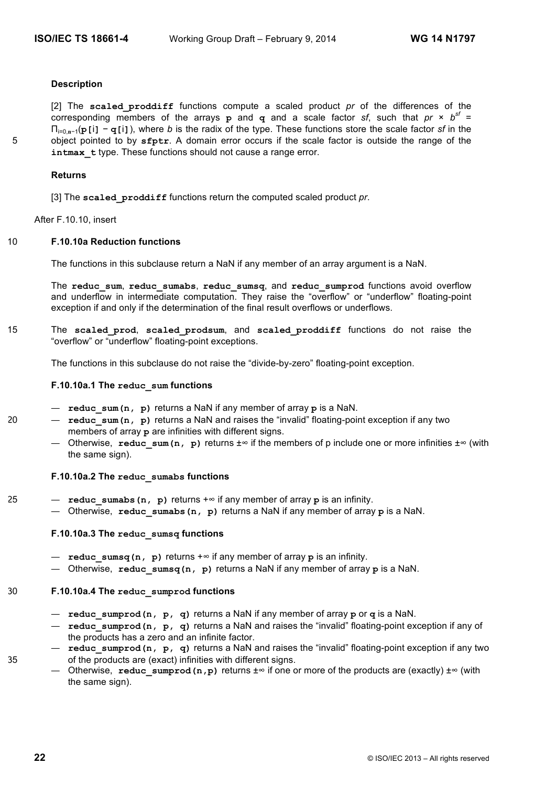## **Description**

[2] The **scaled\_proddiff** functions compute a scaled product *pr* of the differences of the corresponding members of the arrays **p** and **q** and a scale factor *sf*, such that  $pr \times b^{sf} =$ Πi=0,**n**<sup>−</sup>1(**p[**i**]** − **q[**i**]**), where *b* is the radix of the type. These functions store the scale factor *sf* in the 5 object pointed to by **sfptr**. A domain error occurs if the scale factor is outside the range of the intmax t type. These functions should not cause a range error.

#### **Returns**

[3] The **scaled\_proddiff** functions return the computed scaled product *pr*.

After F.10.10, insert

## 10 **F.10.10a Reduction functions**

The functions in this subclause return a NaN if any member of an array argument is a NaN.

The **reduc\_sum**, **reduc\_sumabs**, **reduc\_sumsq**, and **reduc\_sumprod** functions avoid overflow and underflow in intermediate computation. They raise the "overflow" or "underflow" floating-point exception if and only if the determination of the final result overflows or underflows.

15 The **scaled\_prod**, **scaled\_prodsum**, and **scaled\_proddiff** functions do not raise the "overflow" or "underflow" floating-point exceptions.

The functions in this subclause do not raise the "divide-by-zero" floating-point exception.

#### **F.10.10a.1 The reduc\_sum functions**

- **reduc\_sum(n, p)** returns a NaN if any member of array **p** is a NaN.
- 20 **reduc\_sum(n, p)** returns a NaN and raises the "invalid" floating-point exception if any two members of array **p** are infinities with different signs.
	- Otherwise, **reduc\_sum(n, p)** returns ±∞ if the members of p include one or more infinities ±∞ (with the same sign).

#### **F.10.10a.2 The reduc\_sumabs functions**

- 25 **reduc\_sumabs(n, p)** returns +∞ if any member of array **p** is an infinity.
	- Otherwise, **reduc\_sumabs(n, p)** returns a NaN if any member of array **p** is a NaN.

## **F.10.10a.3 The reduc\_sumsq functions**

- **reduc\_sumsq(n, p)** returns +∞ if any member of array **p** is an infinity.
- Otherwise, **reduc\_sumsq(n, p)** returns a NaN if any member of array **p** is a NaN.

# 30 **F.10.10a.4 The reduc\_sumprod functions**

- **reduc\_sumprod(n, p, q)** returns a NaN if any member of array **p** or **q** is a NaN.
- **reduc\_sumprod(n, p, q)** returns a NaN and raises the "invalid" floating-point exception if any of the products has a zero and an infinite factor.
- **reduc\_sumprod(n, p, q)** returns a NaN and raises the "invalid" floating-point exception if any two 35 of the products are (exact) infinities with different signs.
	- Otherwise, reduc sumprod(n, p) returns ±∞ if one or more of the products are (exactly) ±∞ (with the same sign).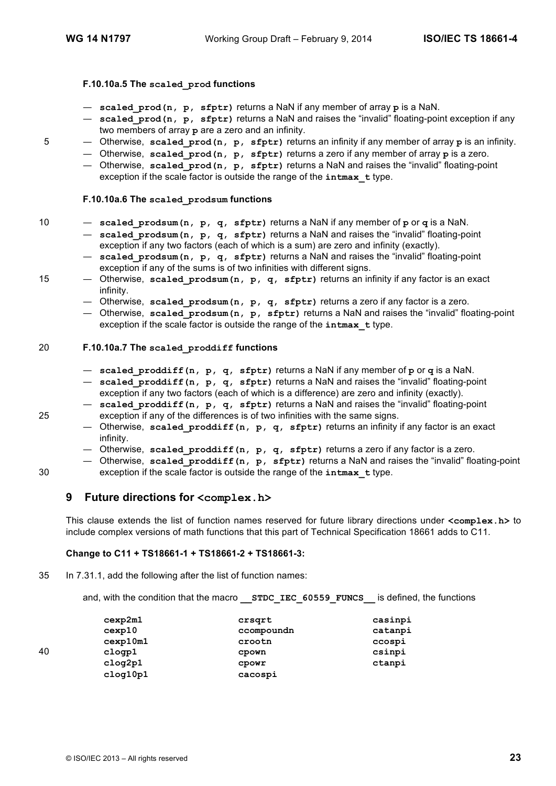## **F.10.10a.5 The scaled\_prod functions**

- **scaled\_prod(n, p, sfptr)** returns a NaN if any member of array **p** is a NaN.
- **scaled\_prod(n, p, sfptr)** returns a NaN and raises the "invalid" floating-point exception if any two members of array **p** are a zero and an infinity.
- 5 Otherwise, **scaled\_prod(n, p, sfptr)** returns an infinity if any member of array **p** is an infinity.
	- Otherwise, **scaled\_prod(n, p, sfptr)** returns a zero if any member of array **p** is a zero.
		- Otherwise, **scaled\_prod(n, p, sfptr)** returns a NaN and raises the "invalid" floating-point exception if the scale factor is outside the range of the **intmax\_t** type.

## **F.10.10a.6 The scaled\_prodsum functions**

- 10 **scaled\_prodsum(n, p, q, sfptr)** returns a NaN if any member of **p** or **q** is a NaN.
	- **scaled\_prodsum(n, p, q, sfptr)** returns a NaN and raises the "invalid" floating-point exception if any two factors (each of which is a sum) are zero and infinity (exactly).
	- **scaled\_prodsum(n, p, q, sfptr)** returns a NaN and raises the "invalid" floating-point exception if any of the sums is of two infinities with different signs.
- 15 Otherwise, scaled prodsum(n, p, q, sfptr) returns an infinity if any factor is an exact infinity.
	- Otherwise, **scaled\_prodsum(n, p, q, sfptr)** returns a zero if any factor is a zero.
	- Otherwise, **scaled\_prodsum(n, p, sfptr)** returns a NaN and raises the "invalid" floating-point exception if the scale factor is outside the range of the **intmax\_t** type.

## 20 **F.10.10a.7 The scaled\_proddiff functions**

- **scaled\_proddiff(n, p, q, sfptr)** returns a NaN if any member of **p** or **q** is a NaN.
- **scaled\_proddiff(n, p, q, sfptr)** returns a NaN and raises the "invalid" floating-point exception if any two factors (each of which is a difference) are zero and infinity (exactly).
- **scaled\_proddiff(n, p, q, sfptr)** returns a NaN and raises the "invalid" floating-point 25 exception if any of the differences is of two infinities with the same signs.
	- Otherwise, **scaled\_proddiff(n, p, q, sfptr)** returns an infinity if any factor is an exact infinity.
	- Otherwise, **scaled\_proddiff(n, p, q, sfptr)** returns a zero if any factor is a zero.
- Otherwise, **scaled\_proddiff(n, p, sfptr)** returns a NaN and raises the "invalid" floating-point 30 exception if the scale factor is outside the range of the **intmax\_t** type.

# **9 Future directions for <complex.h>**

This clause extends the list of function names reserved for future library directions under **<complex.h>** to include complex versions of math functions that this part of Technical Specification 18661 adds to C11.

## **Change to C11 + TS18661-1 + TS18661-2 + TS18661-3:**

- 35 In 7.31.1, add the following after the list of function names:
	- and, with the condition that the macro **STDC IEC 60559 FUNCS** is defined, the functions

|    | cexp2m1  | crsqrt     | casinpi |
|----|----------|------------|---------|
|    | cexp10   | ccompoundn | catanpi |
|    | cexp10m1 | crootn     | ccospi  |
| 40 | clogp1   | cpown      | csinpi  |
|    | clog2p1  | CDOWL      | ctanpi  |
|    | clog10p1 | cacospi    |         |

© ISO/IEC 2013 – All rights reserved **23**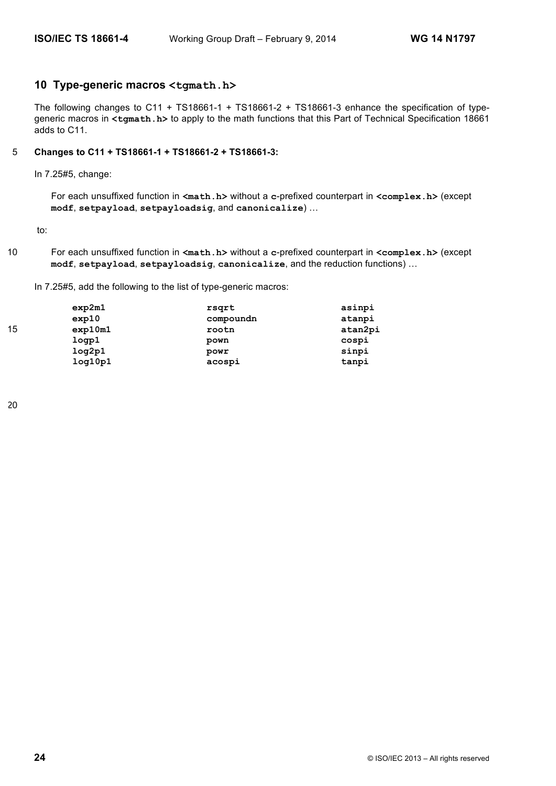# **10 Type-generic macros <tgmath.h>**

The following changes to C11 + TS18661-1 + TS18661-2 + TS18661-3 enhance the specification of typegeneric macros in **<tgmath.h>** to apply to the math functions that this Part of Technical Specification 18661 adds to C11.

## 5 **Changes to C11 + TS18661-1 + TS18661-2 + TS18661-3:**

In 7.25#5, change:

For each unsuffixed function in <math.h> without a c-prefixed counterpart in <complex.h> (except **modf**, **setpayload**, **setpayloadsig**, and **canonicalize**) …

to:

10 For each unsuffixed function in **<math.h>** without a **c**-prefixed counterpart in **<complex.h>** (except **modf**, **setpayload**, **setpayloadsig**, **canonicalize**, and the reduction functions) …

In 7.25#5, add the following to the list of type-generic macros:

|    | exp2m1  | rsqrt     | asinpi  |
|----|---------|-----------|---------|
|    | exp10   | compoundn | atanpi  |
| 15 | exp10m1 | rootn     | atan2pi |
|    | logp1   | pown      | cospi   |
|    | log2p1  | powr      | sinpi   |
|    | log10p1 | acospi    | tanpi   |

20